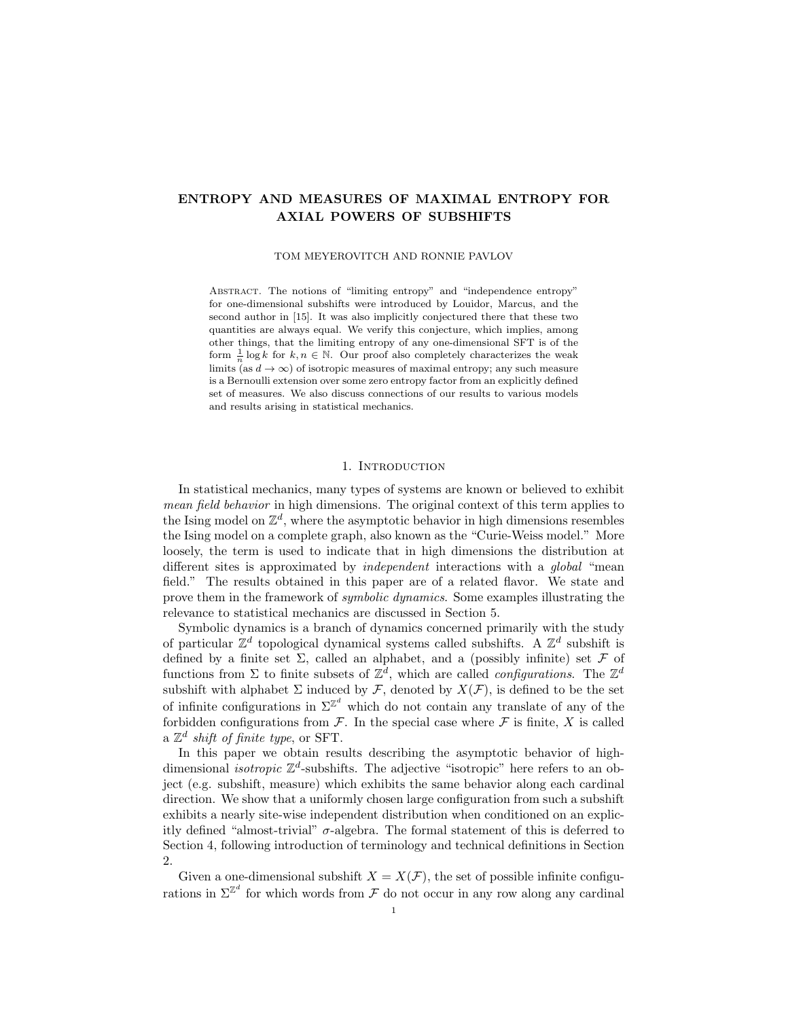## ENTROPY AND MEASURES OF MAXIMAL ENTROPY FOR AXIAL POWERS OF SUBSHIFTS

TOM MEYEROVITCH AND RONNIE PAVLOV

Abstract. The notions of "limiting entropy" and "independence entropy" for one-dimensional subshifts were introduced by Louidor, Marcus, and the second author in [15]. It was also implicitly conjectured there that these two quantities are always equal. We verify this conjecture, which implies, among other things, that the limiting entropy of any one-dimensional SFT is of the form  $\frac{1}{n} \log k$  for  $k, n \in \mathbb{N}$ . Our proof also completely characterizes the weak limits (as  $d \to \infty$ ) of isotropic measures of maximal entropy; any such measure is a Bernoulli extension over some zero entropy factor from an explicitly defined set of measures. We also discuss connections of our results to various models and results arising in statistical mechanics.

## 1. INTRODUCTION

In statistical mechanics, many types of systems are known or believed to exhibit mean field behavior in high dimensions. The original context of this term applies to the Ising model on  $\mathbb{Z}^d$ , where the asymptotic behavior in high dimensions resembles the Ising model on a complete graph, also known as the "Curie-Weiss model." More loosely, the term is used to indicate that in high dimensions the distribution at different sites is approximated by *independent* interactions with a *global* "mean field." The results obtained in this paper are of a related flavor. We state and prove them in the framework of symbolic dynamics. Some examples illustrating the relevance to statistical mechanics are discussed in Section 5.

Symbolic dynamics is a branch of dynamics concerned primarily with the study of particular  $\mathbb{Z}^d$  topological dynamical systems called subshifts. A  $\mathbb{Z}^d$  subshift is defined by a finite set  $\Sigma$ , called an alphabet, and a (possibly infinite) set  $\mathcal F$  of functions from  $\Sigma$  to finite subsets of  $\mathbb{Z}^d$ , which are called *configurations*. The  $\mathbb{Z}^d$ subshift with alphabet  $\Sigma$  induced by  $\mathcal F$ , denoted by  $X(\mathcal F)$ , is defined to be the set of infinite configurations in  $\Sigma^{\mathbb{Z}^d}$  which do not contain any translate of any of the forbidden configurations from  $\mathcal F$ . In the special case where  $\mathcal F$  is finite, X is called a  $\mathbb{Z}^d$  shift of finite type, or SFT.

In this paper we obtain results describing the asymptotic behavior of highdimensional *isotropic*  $\mathbb{Z}^d$ -subshifts. The adjective "isotropic" here refers to an object (e.g. subshift, measure) which exhibits the same behavior along each cardinal direction. We show that a uniformly chosen large configuration from such a subshift exhibits a nearly site-wise independent distribution when conditioned on an explicitly defined "almost-trivial"  $\sigma$ -algebra. The formal statement of this is deferred to Section 4, following introduction of terminology and technical definitions in Section 2.

Given a one-dimensional subshift  $X = X(\mathcal{F})$ , the set of possible infinite configurations in  $\Sigma^{\mathbb{Z}^d}$  for which words from  $\mathcal F$  do not occur in any row along any cardinal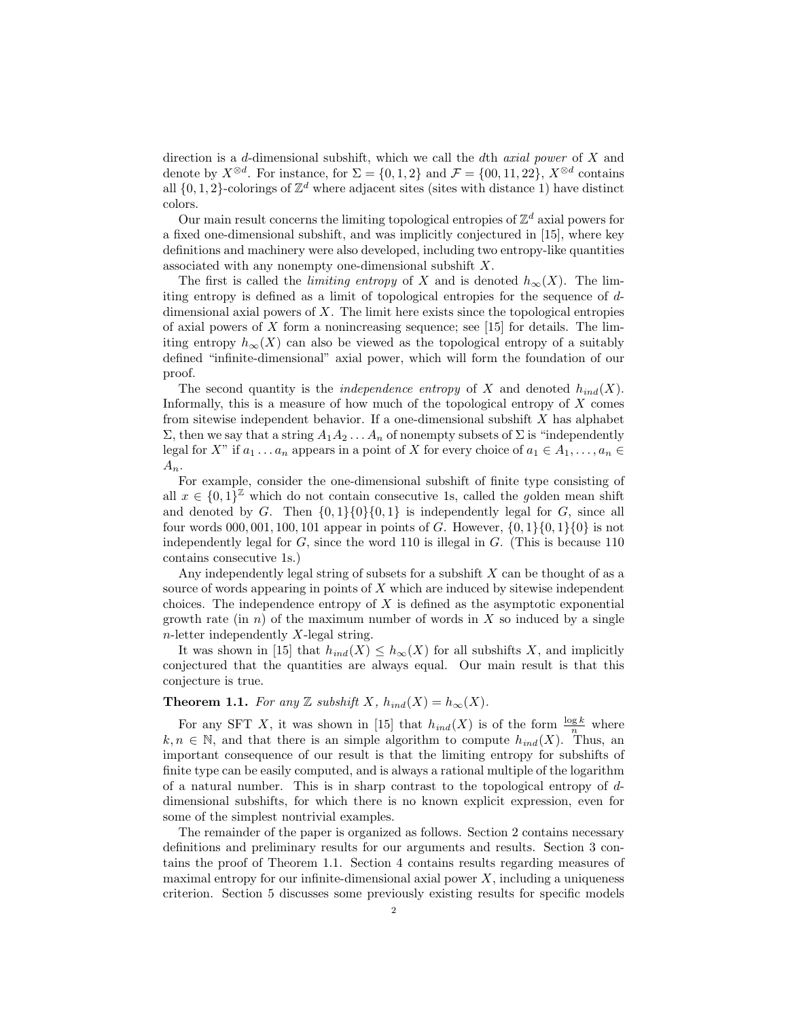direction is a d-dimensional subshift, which we call the dth *axial power* of  $X$  and denote by  $X^{\otimes d}$ . For instance, for  $\Sigma = \{0, 1, 2\}$  and  $\mathcal{F} = \{00, 11, 22\}$ ,  $X^{\otimes d}$  contains all  $\{0, 1, 2\}$ -colorings of  $\mathbb{Z}^d$  where adjacent sites (sites with distance 1) have distinct colors.

Our main result concerns the limiting topological entropies of  $\mathbb{Z}^d$  axial powers for a fixed one-dimensional subshift, and was implicitly conjectured in [15], where key definitions and machinery were also developed, including two entropy-like quantities associated with any nonempty one-dimensional subshift X.

The first is called the *limiting entropy* of X and is denoted  $h_{\infty}(X)$ . The limiting entropy is defined as a limit of topological entropies for the sequence of ddimensional axial powers of  $X$ . The limit here exists since the topological entropies of axial powers of  $X$  form a nonincreasing sequence; see [15] for details. The limiting entropy  $h_{\infty}(X)$  can also be viewed as the topological entropy of a suitably defined "infinite-dimensional" axial power, which will form the foundation of our proof.

The second quantity is the *independence entropy* of X and denoted  $h_{ind}(X)$ . Informally, this is a measure of how much of the topological entropy of  $X$  comes from sitewise independent behavior. If a one-dimensional subshift X has alphabet  $\Sigma$ , then we say that a string  $A_1A_2 \ldots A_n$  of nonempty subsets of  $\Sigma$  is "independently legal for X" if  $a_1 \ldots a_n$  appears in a point of X for every choice of  $a_1 \in A_1, \ldots, a_n \in$  $A_n$ .

For example, consider the one-dimensional subshift of finite type consisting of all  $x \in \{0,1\}^{\mathbb{Z}}$  which do not contain consecutive 1s, called the golden mean shift and denoted by G. Then  $\{0, 1\}\{0\}\{0, 1\}$  is independently legal for G, since all four words 000, 001, 100, 101 appear in points of G. However,  $\{0, 1\}$  $\{0, 1\}$  $\{0\}$  is not independently legal for G, since the word 110 is illegal in G. (This is because 110 contains consecutive 1s.)

Any independently legal string of subsets for a subshift  $X$  can be thought of as a source of words appearing in points of  $X$  which are induced by sitewise independent choices. The independence entropy of  $X$  is defined as the asymptotic exponential growth rate (in  $n$ ) of the maximum number of words in  $X$  so induced by a single  $n$ -letter independently X-legal string.

It was shown in [15] that  $h_{ind}(X) \leq h_{\infty}(X)$  for all subshifts X, and implicitly conjectured that the quantities are always equal. Our main result is that this conjecture is true.

# **Theorem 1.1.** For any Z subshift X,  $h_{ind}(X) = h_{\infty}(X)$ .

For any SFT X, it was shown in [15] that  $h_{ind}(X)$  is of the form  $\frac{\log k}{n}$  where  $k, n \in \mathbb{N}$ , and that there is an simple algorithm to compute  $h_{ind}(X)$ . Thus, an important consequence of our result is that the limiting entropy for subshifts of finite type can be easily computed, and is always a rational multiple of the logarithm of a natural number. This is in sharp contrast to the topological entropy of ddimensional subshifts, for which there is no known explicit expression, even for some of the simplest nontrivial examples.

The remainder of the paper is organized as follows. Section 2 contains necessary definitions and preliminary results for our arguments and results. Section 3 contains the proof of Theorem 1.1. Section 4 contains results regarding measures of maximal entropy for our infinite-dimensional axial power  $X$ , including a uniqueness criterion. Section 5 discusses some previously existing results for specific models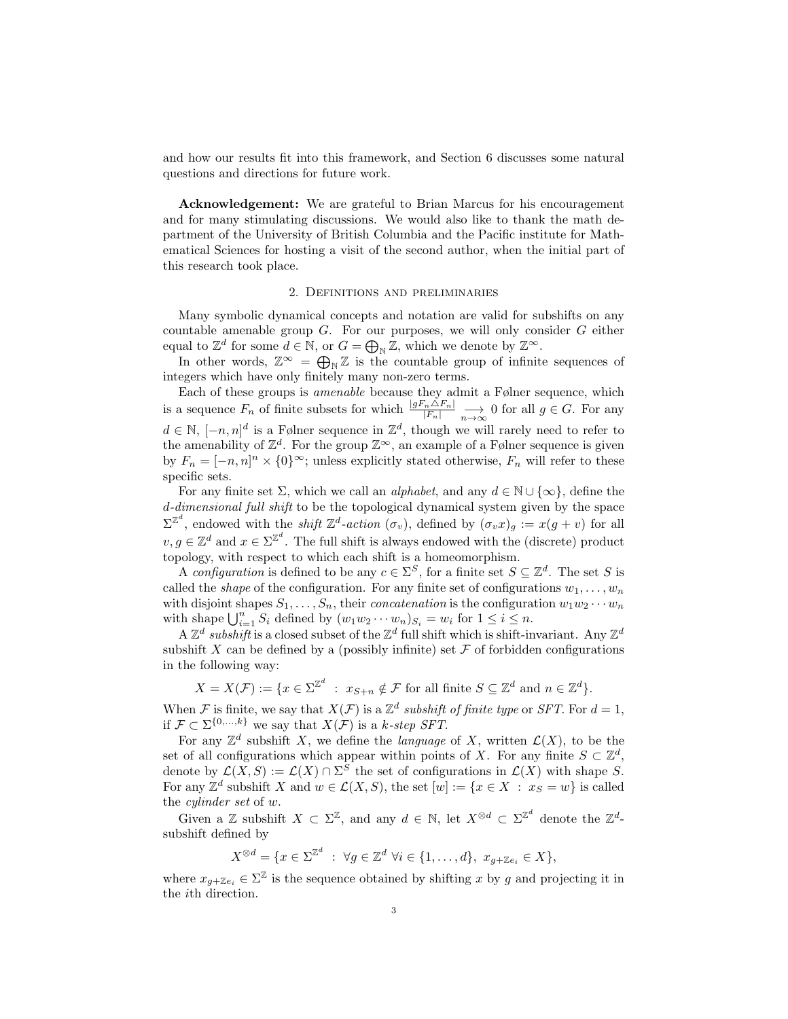and how our results fit into this framework, and Section 6 discusses some natural questions and directions for future work.

Acknowledgement: We are grateful to Brian Marcus for his encouragement and for many stimulating discussions. We would also like to thank the math department of the University of British Columbia and the Pacific institute for Mathematical Sciences for hosting a visit of the second author, when the initial part of this research took place.

## 2. Definitions and preliminaries

Many symbolic dynamical concepts and notation are valid for subshifts on any countable amenable group  $G$ . For our purposes, we will only consider  $G$  either equal to  $\mathbb{Z}^d$  for some  $d \in \mathbb{N}$ , or  $G = \bigoplus_{\mathbb{N}} \mathbb{Z}$ , which we denote by  $\mathbb{Z}^{\infty}$ .

In other words,  $\mathbb{Z}^{\infty} = \bigoplus_{\mathbb{N}} \mathbb{Z}$  is the countable group of infinite sequences of integers which have only finitely many non-zero terms.

Each of these groups is amenable because they admit a Følner sequence, which is a sequence  $F_n$  of finite subsets for which  $\frac{|gF_n \triangle F_n|}{|F_n|} \longrightarrow 0$  for all  $g \in G$ . For any  $d \in \mathbb{N}, \, [-n, n]^d$  is a Følner sequence in  $\mathbb{Z}^d$ , though we will rarely need to refer to the amenability of  $\mathbb{Z}^d$ . For the group  $\mathbb{Z}^{\infty}$ , an example of a Følner sequence is given by  $F_n = [-n, n]^n \times \{0\}^{\infty}$ ; unless explicitly stated otherwise,  $F_n$  will refer to these specific sets.

For any finite set  $\Sigma$ , which we call an *alphabet*, and any  $d \in \mathbb{N} \cup \{\infty\}$ , define the d-dimensional full shift to be the topological dynamical system given by the space  $\Sigma^{\mathbb{Z}^d}$ , endowed with the *shift*  $\mathbb{Z}^d$ -action  $(\sigma_v)$ , defined by  $(\sigma_v x)_g := x(g+v)$  for all  $v, g \in \mathbb{Z}^d$  and  $x \in \Sigma^{\mathbb{Z}^d}$ . The full shift is always endowed with the (discrete) product topology, with respect to which each shift is a homeomorphism.

A configuration is defined to be any  $c \in \Sigma^S$ , for a finite set  $S \subseteq \mathbb{Z}^d$ . The set S is called the *shape* of the configuration. For any finite set of configurations  $w_1, \ldots, w_n$ with disjoint shapes  $S_1, \ldots, S_n$ , their *concatenation* is the configuration  $w_1w_2\cdots w_n$ with shape  $\bigcup_{i=1}^n S_i$  defined by  $(w_1w_2 \cdots w_n)_{S_i} = w_i$  for  $1 \leq i \leq n$ .

A  $\mathbb{Z}^d$  subshift is a closed subset of the  $\mathbb{Z}^d$  full shift which is shift-invariant. Any  $\mathbb{Z}^d$ subshift X can be defined by a (possibly infinite) set  $\mathcal F$  of forbidden configurations in the following way:

$$
X = X(\mathcal{F}) := \{ x \in \Sigma^{\mathbb{Z}^d} : x_{S+n} \notin \mathcal{F} \text{ for all finite } S \subseteq \mathbb{Z}^d \text{ and } n \in \mathbb{Z}^d \}.
$$

When F is finite, we say that  $X(\mathcal{F})$  is a  $\mathbb{Z}^d$  subshift of finite type or SFT. For  $d=1$ , if  $\mathcal{F} \subset \Sigma^{\{0,\ldots,k\}}$  we say that  $X(\mathcal{F})$  is a k-step SFT.

For any  $\mathbb{Z}^d$  subshift X, we define the *language* of X, written  $\mathcal{L}(X)$ , to be the set of all configurations which appear within points of X. For any finite  $S \subset \mathbb{Z}^d$ , denote by  $\mathcal{L}(X, S) := \mathcal{L}(X) \cap \Sigma^S$  the set of configurations in  $\mathcal{L}(X)$  with shape S. For any  $\mathbb{Z}^d$  subshift X and  $w \in \mathcal{L}(X, S)$ , the set  $[w] := \{x \in X : x_S = w\}$  is called the cylinder set of w.

Given a Z subshift  $X \subset \Sigma^{\mathbb{Z}}$ , and any  $d \in \mathbb{N}$ , let  $X^{\otimes d} \subset \Sigma^{\mathbb{Z}^d}$  denote the  $\mathbb{Z}^d$ subshift defined by

$$
X^{\otimes d} = \{ x \in \Sigma^{\mathbb{Z}^d} \; : \; \forall g \in \mathbb{Z}^d \; \forall i \in \{1, \dots, d\}, \; x_{g + \mathbb{Z}e_i} \in X \},
$$

where  $x_{g+Ze_i} \in \Sigma^{\mathbb{Z}}$  is the sequence obtained by shifting x by g and projecting it in the ith direction.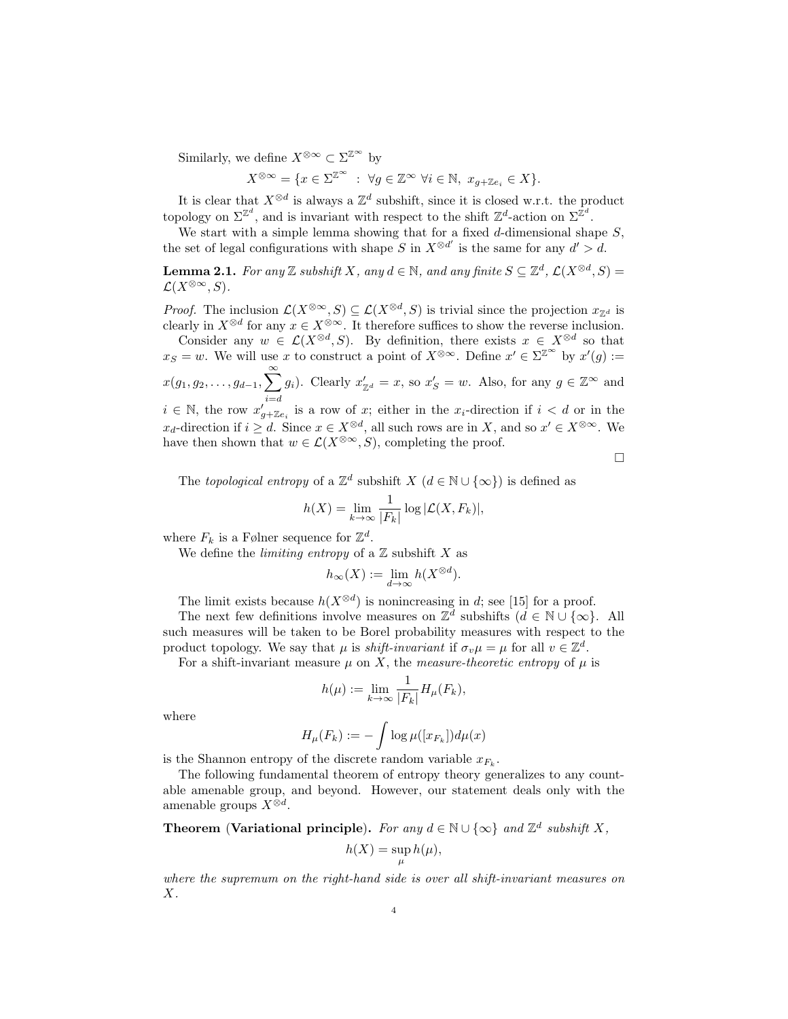Similarly, we define  $X^{\otimes \infty} \subset \Sigma^{\mathbb{Z}^{\infty}}$  by

$$
X^{\otimes \infty} = \{ x \in \Sigma^{\mathbb{Z}^{\infty}} \; : \; \forall g \in \mathbb{Z}^{\infty} \; \forall i \in \mathbb{N}, \; x_{g + \mathbb{Z}e_i} \in X \}.
$$

It is clear that  $X^{\otimes d}$  is always a  $\mathbb{Z}^d$  subshift, since it is closed w.r.t. the product topology on  $\Sigma^{\mathbb{Z}^d}$ , and is invariant with respect to the shift  $\mathbb{Z}^d$ -action on  $\Sigma^{\mathbb{Z}^d}$ .

We start with a simple lemma showing that for a fixed  $d$ -dimensional shape  $S$ , the set of legal configurations with shape S in  $X^{\otimes d'}$  is the same for any  $d' > d$ .

**Lemma 2.1.** For any Z subshift X, any  $d \in \mathbb{N}$ , and any finite  $S \subseteq \mathbb{Z}^d$ ,  $\mathcal{L}(X^{\otimes d}, S) =$  $\mathcal{L}(X^{\otimes \infty}, S)$ .

*Proof.* The inclusion  $\mathcal{L}(X^{\otimes \infty}, S) \subseteq \mathcal{L}(X^{\otimes d}, S)$  is trivial since the projection  $x_{\mathbb{Z}^d}$  is clearly in  $X^{\otimes d}$  for any  $x \in X^{\otimes \infty}$ . It therefore suffices to show the reverse inclusion.

Consider any  $w \in \mathcal{L}(X^{\otimes d}, S)$ . By definition, there exists  $x \in X^{\otimes d}$  so that  $x_S = w$ . We will use x to construct a point of  $X^{\otimes \infty}$ . Define  $x' \in \Sigma^{\mathbb{Z}^{\infty}}$  by  $x'(g) :=$  $x(g_1,g_2,\ldots,g_{d-1},\sum_{i=1}^{\infty}$  $i = d$  $g_i$ ). Clearly  $x'_{\mathbb{Z}^d} = x$ , so  $x'_{\mathbb{S}} = w$ . Also, for any  $g \in \mathbb{Z}^{\infty}$  and  $i \in \mathbb{N}$ , the row  $x'_{g+{\mathbb{Z}}e_i}$  is a row of x; either in the  $x_i$ -direction if  $i < d$  or in the  $x_d$ -direction if  $i \geq d$ . Since  $x \in X^{\otimes d}$ , all such rows are in X, and so  $x' \in X^{\otimes \infty}$ . We

have then shown that  $w \in \mathcal{L}(X^{\otimes \infty}, S)$ , completing the proof.

 $\Box$ 

The topological entropy of a  $\mathbb{Z}^d$  subshift  $X$   $(d \in \mathbb{N} \cup {\infty})$  is defined as

$$
h(X) = \lim_{k \to \infty} \frac{1}{|F_k|} \log |\mathcal{L}(X, F_k)|,
$$

where  $F_k$  is a Følner sequence for  $\mathbb{Z}^d$ .

We define the *limiting entropy* of a  $\mathbb Z$  subshift X as

$$
h_{\infty}(X) := \lim_{d \to \infty} h(X^{\otimes d}).
$$

The limit exists because  $h(X^{\otimes d})$  is nonincreasing in d; see [15] for a proof.

The next few definitions involve measures on  $\mathbb{Z}^d$  subshifts  $(d \in \mathbb{N} \cup {\infty})$ . All such measures will be taken to be Borel probability measures with respect to the product topology. We say that  $\mu$  is *shift-invariant* if  $\sigma_v \mu = \mu$  for all  $v \in \mathbb{Z}^d$ .

For a shift-invariant measure  $\mu$  on X, the measure-theoretic entropy of  $\mu$  is

$$
h(\mu) := \lim_{k \to \infty} \frac{1}{|F_k|} H_{\mu}(F_k),
$$

where

$$
H_{\mu}(F_k) := -\int \log \mu([x_{F_k}]) d\mu(x)
$$

is the Shannon entropy of the discrete random variable  $x_{F_k}$ .

The following fundamental theorem of entropy theory generalizes to any countable amenable group, and beyond. However, our statement deals only with the amenable groups  $X^{\otimes d}$ .

**Theorem (Variational principle).** For any  $d \in \mathbb{N} \cup \{\infty\}$  and  $\mathbb{Z}^d$  subshift X,

$$
h(X) = \sup_{\mu} h(\mu),
$$

where the supremum on the right-hand side is over all shift-invariant measures on  $X$ .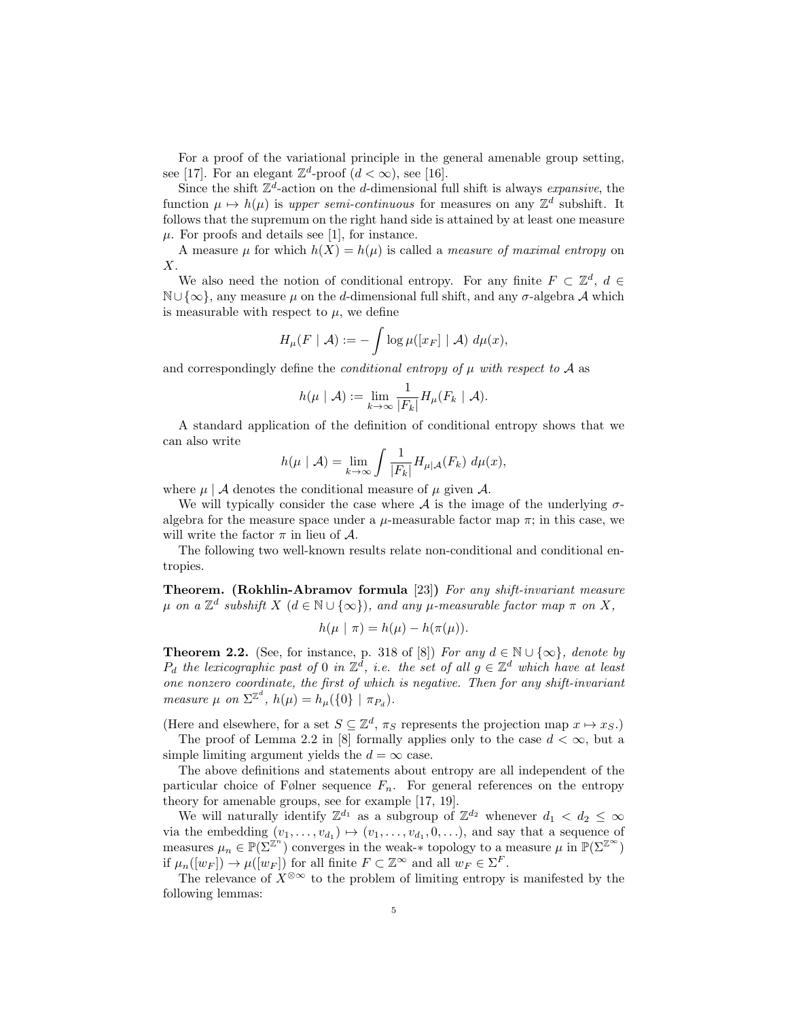For a proof of the variational principle in the general amenable group setting, see [17]. For an elegant  $\mathbb{Z}^d$ -proof  $(d < \infty)$ , see [16].

Since the shift  $\mathbb{Z}^d$ -action on the d-dimensional full shift is always *expansive*, the function  $\mu \mapsto h(\mu)$  is upper semi-continuous for measures on any  $\mathbb{Z}^d$  subshift. It follows that the supremum on the right hand side is attained by at least one measure  $\mu$ . For proofs and details see [1], for instance.

A measure  $\mu$  for which  $h(X) = h(\mu)$  is called a *measure of maximal entropy* on X.

We also need the notion of conditional entropy. For any finite  $F \subset \mathbb{Z}^d$ ,  $d \in$  $\mathbb{N}\cup\{\infty\}$ , any measure  $\mu$  on the d-dimensional full shift, and any  $\sigma$ -algebra A which is measurable with respect to  $\mu$ , we define

$$
H_{\mu}(F \mid \mathcal{A}) := -\int \log \mu([x_F] \mid \mathcal{A}) \; d\mu(x),
$$

and correspondingly define the *conditional entropy of*  $\mu$  with respect to A as

$$
h(\mu \mid \mathcal{A}) := \lim_{k \to \infty} \frac{1}{|F_k|} H_{\mu}(F_k \mid \mathcal{A}).
$$

A standard application of the definition of conditional entropy shows that we can also write

$$
h(\mu \mid \mathcal{A}) = \lim_{k \to \infty} \int \frac{1}{|F_k|} H_{\mu \mid \mathcal{A}}(F_k) \, d\mu(x),
$$

where  $\mu \mid A$  denotes the conditional measure of  $\mu$  given A.

We will typically consider the case where  $A$  is the image of the underlying  $\sigma$ algebra for the measure space under a  $\mu$ -measurable factor map  $\pi$ ; in this case, we will write the factor  $\pi$  in lieu of A.

The following two well-known results relate non-conditional and conditional entropies.

Theorem. (Rokhlin-Abramov formula [23]) For any shift-invariant measure  $\mu$  on a  $\mathbb{Z}^d$  subshift  $X$   $(d \in \mathbb{N} \cup \{\infty\})$ , and any  $\mu$ -measurable factor map  $\pi$  on  $X$ ,

$$
h(\mu \mid \pi) = h(\mu) - h(\pi(\mu)).
$$

**Theorem 2.2.** (See, for instance, p. 318 of [8]) For any  $d \in \mathbb{N} \cup \{\infty\}$ , denote by  $P_d$  the lexicographic past of 0 in  $\mathbb{Z}^d$ , i.e. the set of all  $g \in \mathbb{Z}^d$  which have at least one nonzero coordinate, the first of which is negative. Then for any shift-invariant measure  $\mu$  on  $\Sigma^{\mathbb{Z}^d}$ ,  $h(\mu) = h_{\mu}(\{0\} | \pi_{P_d})$ .

(Here and elsewhere, for a set  $S \subseteq \mathbb{Z}^d$ ,  $\pi_S$  represents the projection map  $x \mapsto x_S$ .)

The proof of Lemma 2.2 in [8] formally applies only to the case  $d < \infty$ , but a simple limiting argument yields the  $d = \infty$  case.

The above definitions and statements about entropy are all independent of the particular choice of Følner sequence  $F_n$ . For general references on the entropy theory for amenable groups, see for example [17, 19].

We will naturally identify  $\mathbb{Z}^{d_1}$  as a subgroup of  $\mathbb{Z}^{d_2}$  whenever  $d_1 < d_2 \leq \infty$ via the embedding  $(v_1, \ldots, v_{d_1}) \mapsto (v_1, \ldots, v_{d_1}, 0, \ldots)$ , and say that a sequence of measures  $\mu_n \in \mathbb{P}(\Sigma^{\mathbb{Z}^n})$  converges in the weak-\* topology to a measure  $\mu$  in  $\mathbb{P}(\Sigma^{\mathbb{Z}^{\infty}})$ if  $\mu_n([w_F]) \to \mu([w_F])$  for all finite  $F \subset \mathbb{Z}^{\infty}$  and all  $w_F \in \Sigma^F$ .

The relevance of  $X^{\otimes \infty}$  to the problem of limiting entropy is manifested by the following lemmas: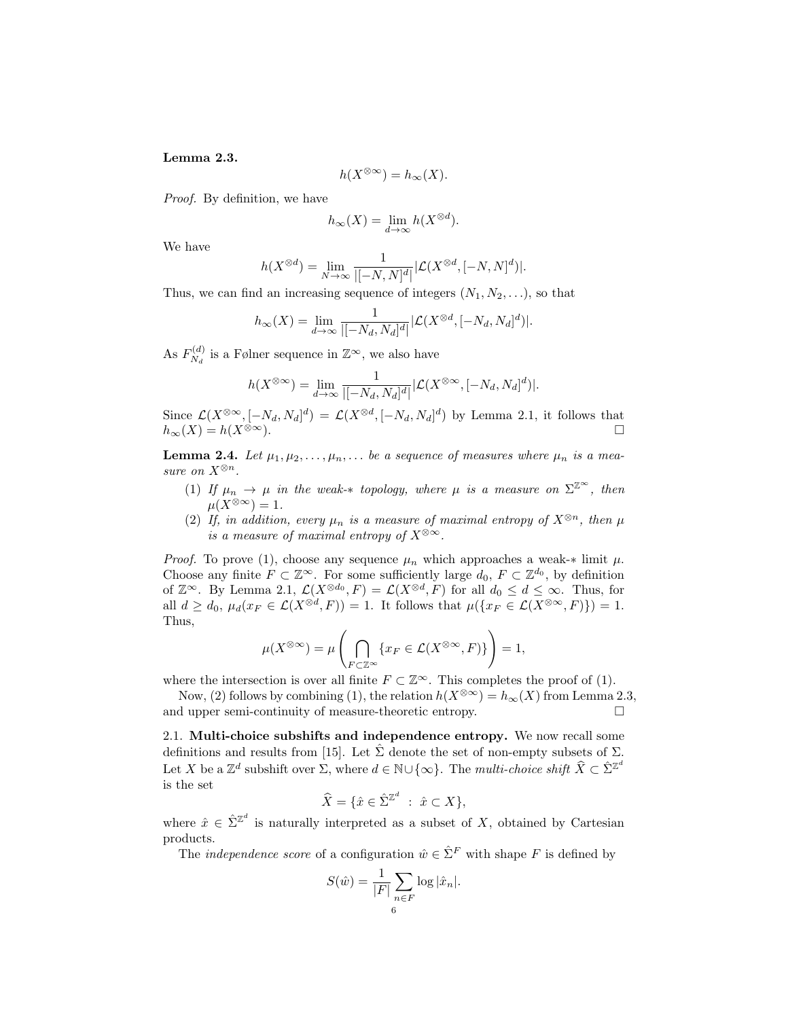Lemma 2.3.

$$
h(X^{\otimes \infty}) = h_{\infty}(X).
$$

Proof. By definition, we have

$$
h_{\infty}(X) = \lim_{d \to \infty} h(X^{\otimes d}).
$$

We have

$$
h(X^{\otimes d})=\lim_{N\to\infty}\frac{1}{|[-N,N]^d|}|\mathcal{L}(X^{\otimes d},[-N,N]^d)|.
$$

Thus, we can find an increasing sequence of integers  $(N_1, N_2, \ldots)$ , so that

$$
h_{\infty}(X) = \lim_{d \to \infty} \frac{1}{|[-N_d, N_d]^d|} |\mathcal{L}(X^{\otimes d}, [-N_d, N_d]^d)|.
$$

As  $F_{N_A}^{(d)}$  $N_d^{(d)}$  is a Følner sequence in  $\mathbb{Z}^{\infty}$ , we also have

$$
h(X^{\otimes \infty}) = \lim_{d \to \infty} \frac{1}{|[-N_d, N_d]^d|} |\mathcal{L}(X^{\otimes \infty}, [-N_d, N_d]^d)|.
$$

Since  $\mathcal{L}(X^{\otimes \infty}, [-N_d, N_d]^d) = \mathcal{L}(X^{\otimes d}, [-N_d, N_d]^d)$  by Lemma 2.1, it follows that  $h_{\infty}(X) = h(X^{\otimes \infty}).$ 

**Lemma 2.4.** Let  $\mu_1, \mu_2, \ldots, \mu_n, \ldots$  be a sequence of measures where  $\mu_n$  is a measure on  $X^{\otimes n}$ .

- (1) If  $\mu_n \to \mu$  in the weak-\* topology, where  $\mu$  is a measure on  $\Sigma^{\mathbb{Z}^{\infty}}$ , then  $\mu(X^{\otimes \infty}) = 1.$
- (2) If, in addition, every  $\mu_n$  is a measure of maximal entropy of  $X^{\otimes n}$ , then  $\mu$ is a measure of maximal entropy of  $X^{\otimes \infty}$ .

*Proof.* To prove (1), choose any sequence  $\mu_n$  which approaches a weak-\* limit  $\mu$ . Choose any finite  $F \subset \mathbb{Z}^{\infty}$ . For some sufficiently large  $d_0, F \subset \mathbb{Z}^{d_0}$ , by definition of  $\mathbb{Z}^{\infty}$ . By Lemma 2.1,  $\mathcal{L}(X^{\otimes d_0}, F) = \mathcal{L}(X^{\otimes d}, F)$  for all  $d_0 \leq d \leq \infty$ . Thus, for all  $d \geq d_0$ ,  $\mu_d(x_F \in \mathcal{L}(X^{\otimes d}, F)) = 1$ . It follows that  $\mu(\lbrace x_F \in \mathcal{L}(X^{\otimes \infty}, F) \rbrace) = 1$ . Thus,

$$
\mu(X^{\otimes \infty}) = \mu\left(\bigcap_{F \subset \mathbb{Z}^{\infty}} \{x_F \in \mathcal{L}(X^{\otimes \infty}, F)\}\right) = 1,
$$

where the intersection is over all finite  $F \subset \mathbb{Z}^{\infty}$ . This completes the proof of (1).

Now, (2) follows by combining (1), the relation  $h(X^{\otimes \infty}) = h_{\infty}(X)$  from Lemma 2.3, and upper semi-continuity of measure-theoretic entropy.

2.1. Multi-choice subshifts and independence entropy. We now recall some definitions and results from [15]. Let  $\hat{\Sigma}$  denote the set of non-empty subsets of  $\Sigma$ . Let X be a  $\mathbb{Z}^d$  subshift over  $\Sigma$ , where  $d \in \mathbb{N} \cup \{\infty\}$ . The *multi-choice shift*  $\widehat{X} \subset \widehat{\Sigma}^{\mathbb{Z}^d}$ is the set

$$
\widehat{X} = \{ \hat{x} \in \widehat{\Sigma}^{\mathbb{Z}^d} \ : \ \hat{x} \subset X \},
$$

where  $\hat{x} \in \hat{\Sigma}^{\mathbb{Z}^d}$  is naturally interpreted as a subset of X, obtained by Cartesian products.

The *independence score* of a configuration  $\hat{w} \in \hat{\Sigma}^F$  with shape F is defined by

$$
S(\hat{w}) = \frac{1}{|F|} \sum_{\substack{n \in F \\ 6}} \log |\hat{x}_n|.
$$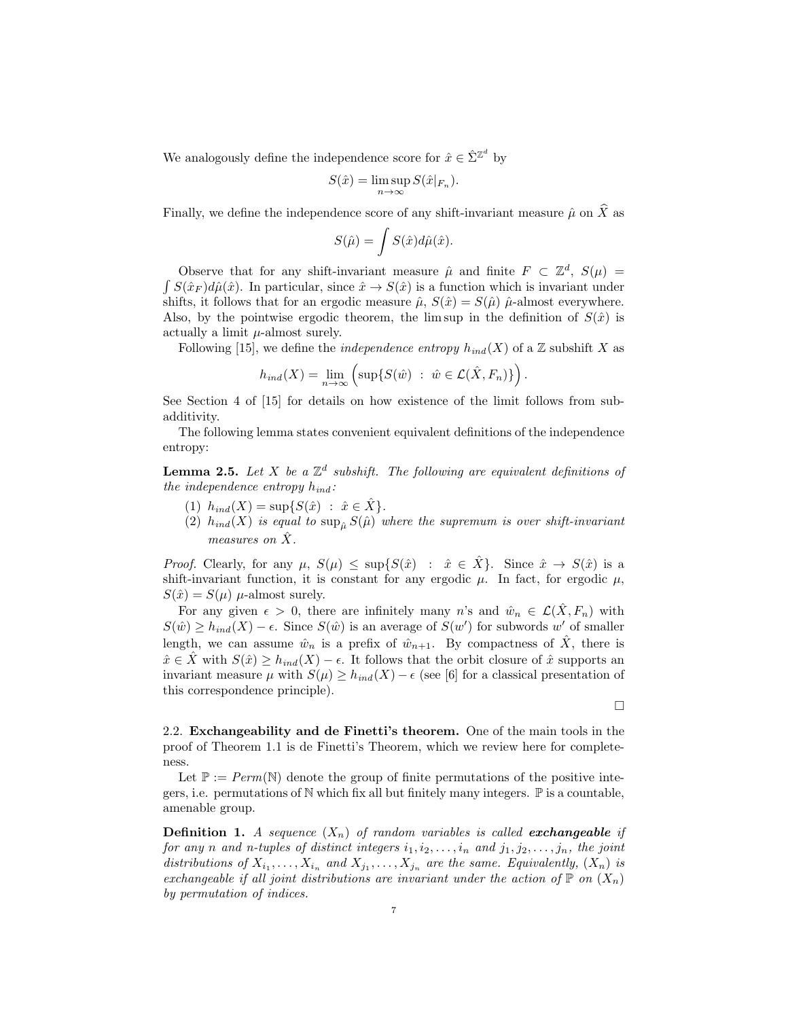We analogously define the independence score for  $\hat{x} \in \hat{\Sigma}^{\mathbb{Z}^d}$  by

$$
S(\hat{x}) = \limsup_{n \to \infty} S(\hat{x}|_{F_n}).
$$

Finally, we define the independence score of any shift-invariant measure  $\hat{\mu}$  on  $\hat{X}$  as

$$
S(\hat{\mu}) = \int S(\hat{x}) d\hat{\mu}(\hat{x}).
$$

Observe that for any shift-invariant measure  $\hat{\mu}$  and finite  $F \subset \mathbb{Z}^d$ ,  $S(\mu) =$  $\int S(\hat{x}_F) d\hat{\mu}(\hat{x})$ . In particular, since  $\hat{x} \to S(\hat{x})$  is a function which is invariant under shifts, it follows that for an ergodic measure  $\hat{\mu}$ ,  $S(\hat{x}) = S(\hat{\mu})$   $\hat{\mu}$ -almost everywhere. Also, by the pointwise ergodic theorem, the lim sup in the definition of  $S(\hat{x})$  is actually a limit  $\mu$ -almost surely.

Following [15], we define the *independence entropy*  $h_{ind}(X)$  of a Z subshift X as

$$
h_{ind}(X) = \lim_{n \to \infty} \left( \sup \{ S(\hat{w}) \ : \ \hat{w} \in \mathcal{L}(\hat{X}, F_n) \} \right).
$$

See Section 4 of [15] for details on how existence of the limit follows from subadditivity.

The following lemma states convenient equivalent definitions of the independence entropy:

**Lemma 2.5.** Let X be a  $\mathbb{Z}^d$  subshift. The following are equivalent definitions of the independence entropy  $h_{ind}$ :

- (1)  $h_{ind}(X) = \sup\{S(\hat{x}) : \hat{x} \in X\}.$
- (2)  $h_{ind}(X)$  is equal to  $\sup_{\hat{\mu}} S(\hat{\mu})$  where the supremum is over shift-invariant measures on  $\tilde{X}$ .

Proof. Clearly, for any  $\mu$ ,  $S(\mu) \leq \sup\{S(\hat{x}) : \hat{x} \in X\}$ . Since  $\hat{x} \to S(\hat{x})$  is a shift-invariant function, it is constant for any ergodic  $\mu$ . In fact, for ergodic  $\mu$ ,  $S(\hat{x}) = S(\mu) \mu$ -almost surely.

For any given  $\epsilon > 0$ , there are infinitely many n's and  $\hat{w}_n \in \mathcal{L}(\hat{X}, F_n)$  with  $S(\hat{w}) \ge h_{ind}(X) - \epsilon$ . Since  $S(\hat{w})$  is an average of  $S(w')$  for subwords w' of smaller length, we can assume  $\hat{w}_n$  is a prefix of  $\hat{w}_{n+1}$ . By compactness of  $\hat{X}$ , there is  $\hat{x} \in \hat{X}$  with  $S(\hat{x}) \geq h_{ind}(X) - \epsilon$ . It follows that the orbit closure of  $\hat{x}$  supports an invariant measure  $\mu$  with  $S(\mu) > h_{ind}(X) - \epsilon$  (see [6] for a classical presentation of this correspondence principle).

 $\Box$ 

2.2. Exchangeability and de Finetti's theorem. One of the main tools in the proof of Theorem 1.1 is de Finetti's Theorem, which we review here for completeness.

Let  $\mathbb{P} := Perm(\mathbb{N})$  denote the group of finite permutations of the positive integers, i.e. permutations of  $\mathbb N$  which fix all but finitely many integers.  $\mathbb P$  is a countable, amenable group.

**Definition 1.** A sequence  $(X_n)$  of random variables is called **exchangeable** if for any n and n-tuples of distinct integers  $i_1, i_2, \ldots, i_n$  and  $j_1, j_2, \ldots, j_n$ , the joint distributions of  $X_{i_1}, \ldots, X_{i_n}$  and  $X_{j_1}, \ldots, X_{j_n}$  are the same. Equivalently,  $(X_n)$  is exchangeable if all joint distributions are invariant under the action of  $\mathbb P$  on  $(X_n)$ by permutation of indices.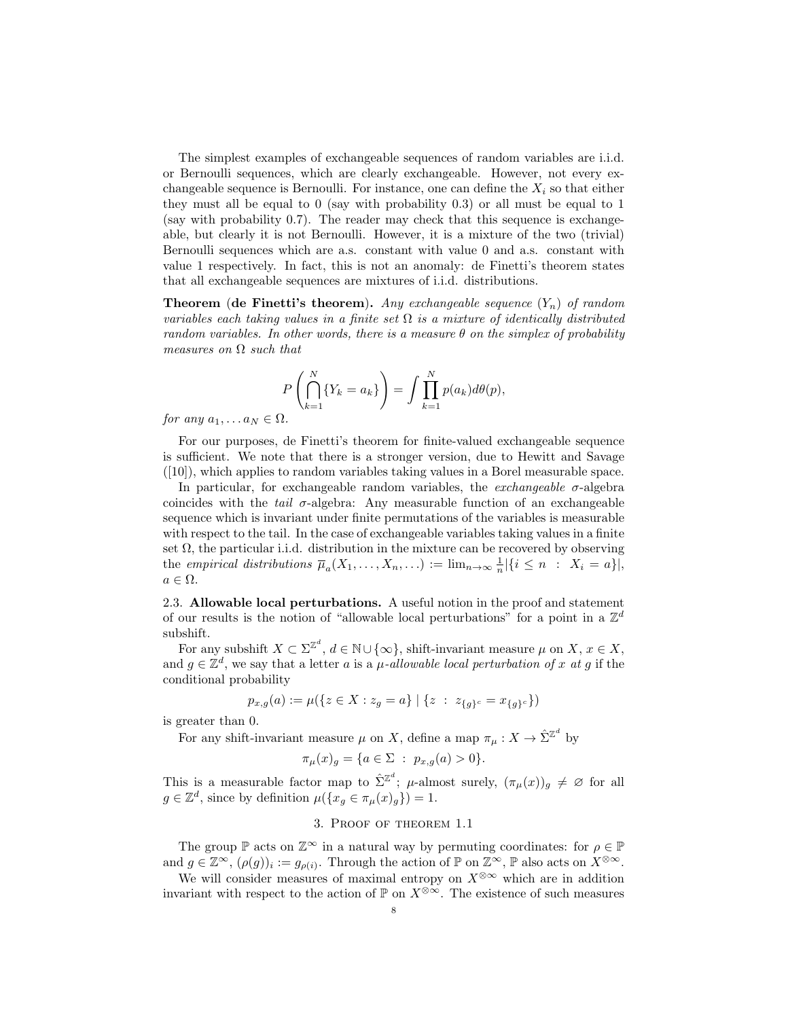The simplest examples of exchangeable sequences of random variables are i.i.d. or Bernoulli sequences, which are clearly exchangeable. However, not every exchangeable sequence is Bernoulli. For instance, one can define the  $X_i$  so that either they must all be equal to 0 (say with probability 0.3) or all must be equal to 1 (say with probability 0.7). The reader may check that this sequence is exchangeable, but clearly it is not Bernoulli. However, it is a mixture of the two (trivial) Bernoulli sequences which are a.s. constant with value 0 and a.s. constant with value 1 respectively. In fact, this is not an anomaly: de Finetti's theorem states that all exchangeable sequences are mixtures of i.i.d. distributions.

**Theorem (de Finetti's theorem).** Any exchangeable sequence  $(Y_n)$  of random variables each taking values in a finite set  $\Omega$  is a mixture of identically distributed random variables. In other words, there is a measure  $\theta$  on the simplex of probability measures on  $\Omega$  such that

$$
P\left(\bigcap_{k=1}^N \{Y_k = a_k\}\right) = \int \prod_{k=1}^N p(a_k) d\theta(p),
$$

for any  $a_1, \ldots a_N \in \Omega$ .

For our purposes, de Finetti's theorem for finite-valued exchangeable sequence is sufficient. We note that there is a stronger version, due to Hewitt and Savage  $([10])$ , which applies to random variables taking values in a Borel measurable space.

In particular, for exchangeable random variables, the *exchangeable*  $\sigma$ -algebra coincides with the *tail*  $\sigma$ -algebra: Any measurable function of an exchangeable sequence which is invariant under finite permutations of the variables is measurable with respect to the tail. In the case of exchangeable variables taking values in a finite set  $\Omega$ , the particular i.i.d. distribution in the mixture can be recovered by observing the empirical distributions  $\overline{\mu}_a(X_1,\ldots,X_n,\ldots) := \lim_{n\to\infty} \frac{1}{n} |\{i \leq n : X_i = a\}|,$  $a \in \Omega$ .

2.3. Allowable local perturbations. A useful notion in the proof and statement of our results is the notion of "allowable local perturbations" for a point in a  $\mathbb{Z}^d$ subshift.

For any subshift  $X \subset \Sigma^{\mathbb{Z}^d}$ ,  $d \in \mathbb{N} \cup \{\infty\}$ , shift-invariant measure  $\mu$  on  $X, x \in X$ , and  $g \in \mathbb{Z}^d$ , we say that a letter a is a  $\mu$ -allowable local perturbation of x at g if the conditional probability

$$
p_{x,g}(a) := \mu(\{z \in X : z_g = a\} \mid \{z \ : \ z_{\{g\}^c} = x_{\{g\}^c}\})
$$

is greater than 0.

For any shift-invariant measure  $\mu$  on X, define a map  $\pi_{\mu}: X \to \hat{\Sigma}^{\mathbb{Z}^d}$  by

$$
\pi_{\mu}(x)_{g} = \{ a \in \Sigma : p_{x,g}(a) > 0 \}.
$$

This is a measurable factor map to  $\hat{\Sigma}^{\mathbb{Z}^d}$ ;  $\mu$ -almost surely,  $(\pi_\mu(x))_g \neq \varnothing$  for all  $g \in \mathbb{Z}^d$ , since by definition  $\mu({x_g \in \pi_\mu(x)_g}) = 1$ .

## 3. Proof of theorem 1.1

The group  $\mathbb P$  acts on  $\mathbb Z^{\infty}$  in a natural way by permuting coordinates: for  $\rho \in \mathbb P$ and  $g \in \mathbb{Z}^{\infty}$ ,  $(\rho(g))_i := g_{\rho(i)}$ . Through the action of  $\mathbb{P}$  on  $\mathbb{Z}^{\infty}$ ,  $\mathbb{P}$  also acts on  $X^{\otimes \infty}$ .

We will consider measures of maximal entropy on  $X^{\otimes \infty}$  which are in addition invariant with respect to the action of  $\mathbb P$  on  $X^{\otimes \infty}$ . The existence of such measures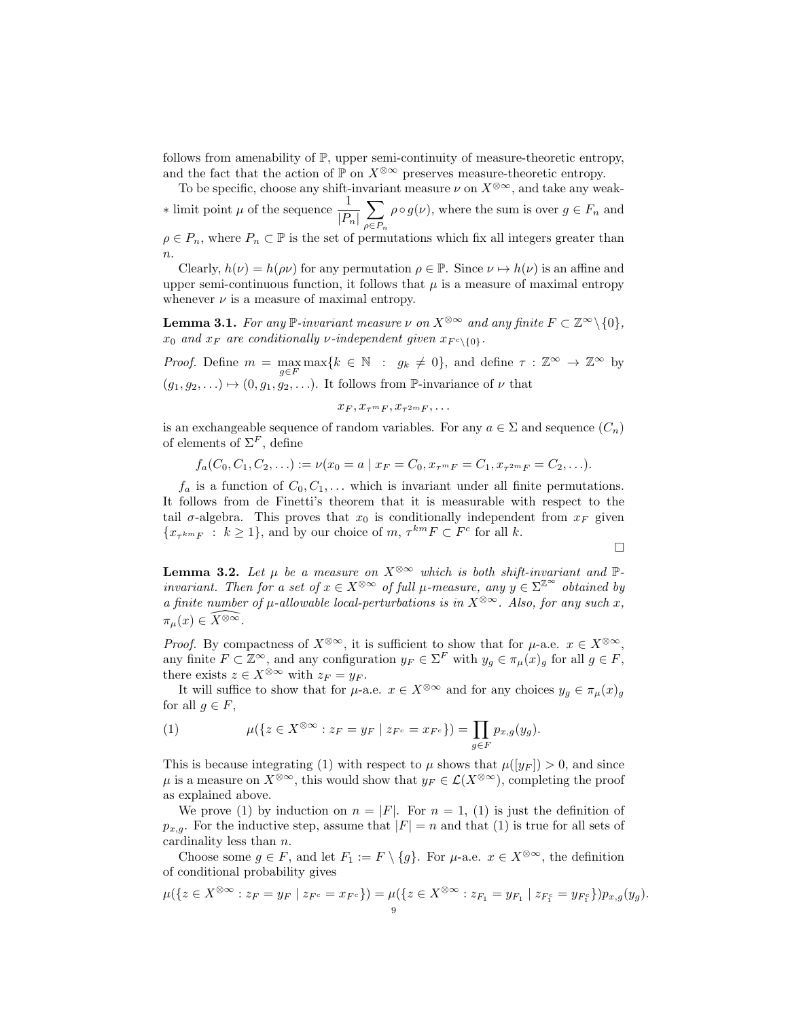follows from amenability of  $\mathbb{P}$ , upper semi-continuity of measure-theoretic entropy, and the fact that the action of  $\mathbb P$  on  $X^{\otimes \infty}$  preserves measure-theoretic entropy.

To be specific, choose any shift-invariant measure  $\nu$  on  $X^{\otimes \infty}$ , and take any weak- $∗$  limit point *μ* of the sequence  $\frac{1}{|P_n|}$  $\sum$  $\rho \in P_n$  $\rho \circ g(\nu)$ , where the sum is over  $g \in F_n$  and  $\rho \in P_n$ , where  $P_n \subset \mathbb{P}$  is the set of permutations which fix all integers greater than  $\overline{n}$ .

Clearly,  $h(\nu) = h(\rho \nu)$  for any permutation  $\rho \in \mathbb{P}$ . Since  $\nu \mapsto h(\nu)$  is an affine and upper semi-continuous function, it follows that  $\mu$  is a measure of maximal entropy whenever  $\nu$  is a measure of maximal entropy.

**Lemma 3.1.** For any  $\mathbb{P}\text{-invariant measure } \nu$  on  $X^{\otimes \infty}$  and any finite  $F \subset \mathbb{Z}^{\infty} \setminus \{0\}$ ,  $x_0$  and  $x_F$  are conditionally v-independent given  $x_{F<\{0\}}$ .

*Proof.* Define  $m = \max_{g \in F} \max\{k \in \mathbb{N} : g_k \neq 0\}$ , and define  $\tau : \mathbb{Z}^{\infty} \to \mathbb{Z}^{\infty}$  by  $(g_1, g_2, \ldots) \mapsto (0, g_1, g_2, \ldots)$ . It follows from P-invariance of  $\nu$  that

$$
x_F, x_{\tau^m F}, x_{\tau^{2m} F}, \ldots
$$

is an exchangeable sequence of random variables. For any  $a \in \Sigma$  and sequence  $(C_n)$ of elements of  $\Sigma^F$ , define

$$
f_a(C_0, C_1, C_2, \ldots) := \nu(x_0 = a \mid x_F = C_0, x_{\tau^m F} = C_1, x_{\tau^{2m} F} = C_2, \ldots).
$$

 $f_a$  is a function of  $C_0, C_1, \ldots$  which is invariant under all finite permutations. It follows from de Finetti's theorem that it is measurable with respect to the tail  $\sigma$ -algebra. This proves that  $x_0$  is conditionally independent from  $x_F$  given  $\{x_{\tau^{km}F} : k \geq 1\}$ , and by our choice of  $m, \tau^{km}F \subset F^c$  for all k.

$$
\Box
$$

**Lemma 3.2.** Let  $\mu$  be a measure on  $X^{\otimes \infty}$  which is both shift-invariant and  $\mathbb{P}$ invariant. Then for a set of  $x \in X^{\otimes \infty}$  of full  $\mu$ -measure, any  $y \in \Sigma^{\mathbb{Z}^{\infty}}$  obtained by a finite number of  $\mu$ -allowable local-perturbations is in  $X^{\otimes \infty}$ . Also, for any such x,  $\pi_\mu(x) \in \widehat{X^{\otimes \infty}}$ .

*Proof.* By compactness of  $X^{\otimes \infty}$ , it is sufficient to show that for  $\mu$ -a.e.  $x \in X^{\otimes \infty}$ , any finite  $F \subset \mathbb{Z}^{\infty}$ , and any configuration  $y_F \in \Sigma^F$  with  $y_g \in \pi_{\mu}(x)_g$  for all  $g \in F$ , there exists  $z \in X^{\otimes \infty}$  with  $z_F = y_F$ .

It will suffice to show that for  $\mu$ -a.e.  $x \in X^{\otimes \infty}$  and for any choices  $y_q \in \pi_\mu(x)_q$ for all  $q \in F$ ,

(1) 
$$
\mu(\{z \in X^{\otimes \infty} : z_F = y_F \mid z_{F^c} = x_{F^c}\}) = \prod_{g \in F} p_{x,g}(y_g).
$$

This is because integrating (1) with respect to  $\mu$  shows that  $\mu([y_F]) > 0$ , and since  $\mu$  is a measure on  $X^{\otimes \infty}$ , this would show that  $y_F \in \mathcal{L}(X^{\otimes \infty})$ , completing the proof as explained above.

We prove (1) by induction on  $n = |F|$ . For  $n = 1$ , (1) is just the definition of  $p_{x,g}$ . For the inductive step, assume that  $|F| = n$  and that (1) is true for all sets of cardinality less than n.

Choose some  $g \in F$ , and let  $F_1 := F \setminus \{g\}$ . For  $\mu$ -a.e.  $x \in X^{\otimes \infty}$ , the definition of conditional probability gives

$$
\mu(\{z \in X^{\otimes \infty} : z_F = y_F \mid z_{F^c} = x_{F^c}\}) = \mu(\{z \in X^{\otimes \infty} : z_{F_1} = y_{F_1} \mid z_{F_1^c} = y_{F_1^c}\})p_{x,g}(y_g).
$$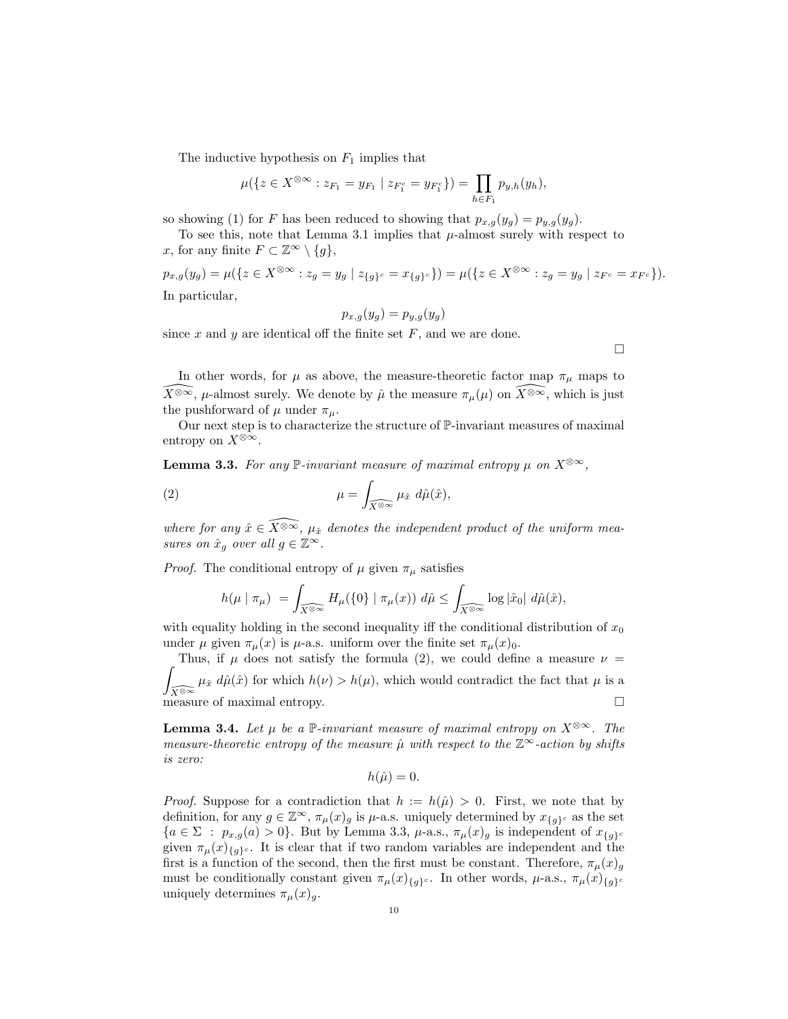The inductive hypothesis on  $F_1$  implies that

$$
\mu(\{z \in X^{\otimes \infty} : z_{F_1} = y_{F_1} \mid z_{F_1^c} = y_{F_1^c}\}) = \prod_{h \in F_1} p_{y,h}(y_h),
$$

so showing (1) for F has been reduced to showing that  $p_{x,g}(y_g) = p_{y,g}(y_g)$ .

To see this, note that Lemma 3.1 implies that  $\mu$ -almost surely with respect to x, for any finite  $F \subset \mathbb{Z}^{\infty} \setminus \{g\},\$ 

 $p_{x,g}(y_g) = \mu(\{z \in X^{\otimes \infty} : z_g = y_g \mid z_{\{g\}^c} = x_{\{g\}^c}\}) = \mu(\{z \in X^{\otimes \infty} : z_g = y_g \mid z_{F^c} = x_{F^c}\}).$ In particular,

$$
p_{x,g}(y_g) = p_{y,g}(y_g)
$$

since  $x$  and  $y$  are identical off the finite set  $F$ , and we are done.

 $\Box$ 

In other words, for  $\mu$  as above, the measure-theoretic factor map  $\pi_{\mu}$  maps to  $\widehat{X^{\otimes \infty}}$ ,  $\mu$ -almost surely. We denote by  $\hat{\mu}$  the measure  $\pi_{\mu}(\mu)$  on  $\widehat{X^{\otimes \infty}}$ , which is just the pushforward of  $\mu$  under  $\pi_{\mu}$ .

Our next step is to characterize the structure of P-invariant measures of maximal entropy on  $X^{\otimes \infty}$ .

**Lemma 3.3.** For any  $\mathbb{P}\text{-invariant measure of maximal entropy } \mu$  on  $X^{\otimes \infty}$ ,

(2) 
$$
\mu = \int_{\widehat{X} \otimes \infty} \mu_{\hat{x}} d\hat{\mu}(\hat{x}),
$$

where for any  $\hat{x} \in \widehat{X^{\otimes \infty}}$ ,  $\mu_{\hat{x}}$  denotes the independent product of the uniform measures on  $\hat{x}_g$  over all  $g \in \mathbb{Z}^\infty$ .

*Proof.* The conditional entropy of  $\mu$  given  $\pi_{\mu}$  satisfies

$$
h(\mu \mid \pi_{\mu}) = \int_{\widehat{X}^{\otimes \infty}} H_{\mu}(\{0\} \mid \pi_{\mu}(x)) \, d\hat{\mu} \le \int_{\widehat{X}^{\otimes \infty}} \log |\hat{x}_0| \, d\hat{\mu}(\hat{x}),
$$

with equality holding in the second inequality iff the conditional distribution of  $x_0$ under  $\mu$  given  $\pi_{\mu}(x)$  is  $\mu$ -a.s. uniform over the finite set  $\pi_{\mu}(x)$ <sub>0</sub>.

Z Thus, if  $\mu$  does not satisfy the formula (2), we could define a measure  $\nu =$  $\int_{\widehat{X}^{\otimes\infty}} \mu_{\hat{x}} d\hat{\mu}(\hat{x})$  for which  $h(\nu) > h(\mu)$ , which would contradict the fact that  $\mu$  is a measure of maximal entropy.

**Lemma 3.4.** Let  $\mu$  be a P-invariant measure of maximal entropy on  $X^{\otimes \infty}$ . The measure-theoretic entropy of the measure  $\hat{\mu}$  with respect to the  $\mathbb{Z}^{\infty}$ -action by shifts is zero:

 $h(\hat{\mu}) = 0.$ 

*Proof.* Suppose for a contradiction that  $h := h(\hat{\mu}) > 0$ . First, we note that by definition, for any  $g \in \mathbb{Z}^{\infty}$ ,  $\pi_{\mu}(x)_{q}$  is  $\mu$ -a.s. uniquely determined by  $x_{\{q\}^c}$  as the set  ${a \in \Sigma : p_{x,g}(a) > 0}.$  But by Lemma 3.3,  $\mu$ -a.s.,  $\pi_{\mu}(x)_{g}$  is independent of  $x_{\{g\}c}$ given  $\pi_{\mu}(x)_{\{g\}c}$ . It is clear that if two random variables are independent and the first is a function of the second, then the first must be constant. Therefore,  $\pi_{\mu}(x)_{g}$ must be conditionally constant given  $\pi_\mu(x)_{\{q\}^c}$ . In other words,  $\mu$ -a.s.,  $\pi_\mu(x)_{\{g\}^c}$ uniquely determines  $\pi_{\mu}(x)_{q}$ .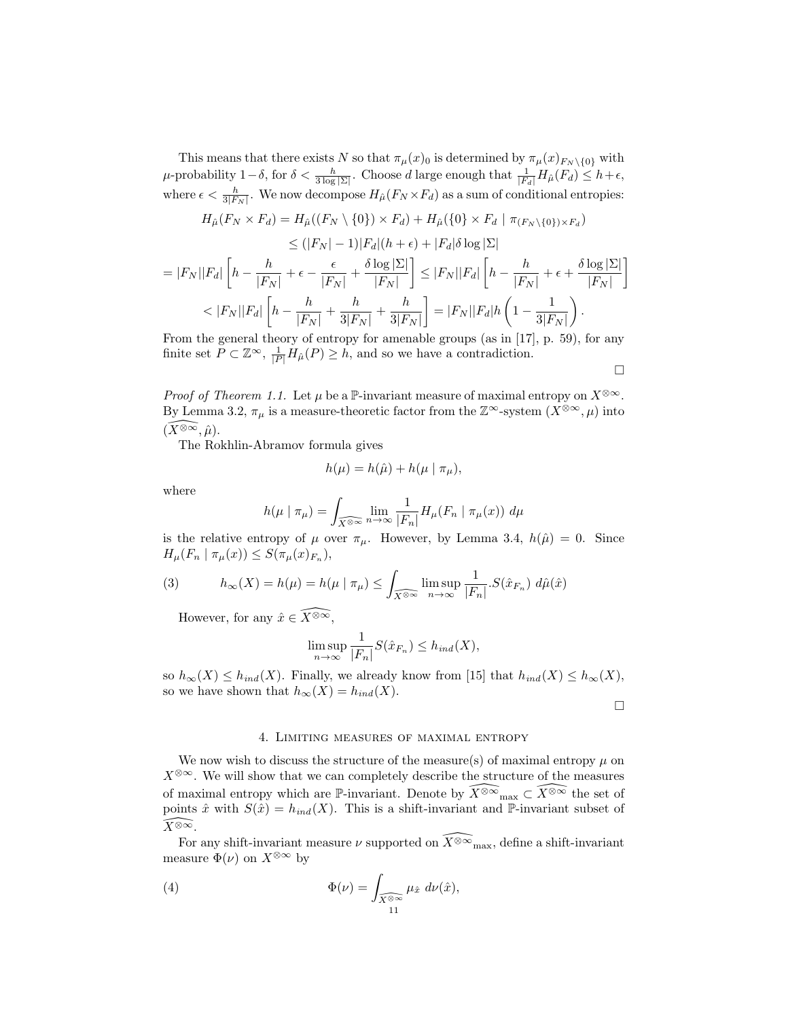This means that there exists N so that  $\pi_{\mu}(x)_0$  is determined by  $\pi_{\mu}(x)_{F_N \setminus \{0\}}$  with  $\mu$ -probability  $1-\delta$ , for  $\delta < \frac{h}{3\log|\Sigma|}$ . Choose d large enough that  $\frac{1}{|F_d|}H_{\hat{\mu}}(F_d) \leq h+\epsilon$ , where  $\epsilon < \frac{h}{3|F_N|}$ . We now decompose  $H_{\hat{\mu}}(F_N \times F_d)$  as a sum of conditional entropies:

$$
H_{\hat{\mu}}(F_N \times F_d) = H_{\hat{\mu}}((F_N \setminus \{0\}) \times F_d) + H_{\hat{\mu}}(\{0\} \times F_d \mid \pi_{(F_N \setminus \{0\}) \times F_d})
$$
  
\n
$$
\leq (|F_N| - 1)|F_d|(h + \epsilon) + |F_d|\delta \log |\Sigma|
$$

$$
=|F_N||F_d|\left[h - \frac{h}{|F_N|} + \epsilon - \frac{\epsilon}{|F_N|} + \frac{\delta \log |\Sigma|}{|F_N|}\right] \le |F_N||F_d|\left[h - \frac{h}{|F_N|} + \epsilon + \frac{\delta \log |\Sigma|}{|F_N|}\right]
$$

$$
< |F_N||F_d|\left[h - \frac{h}{|F_N|} + \frac{h}{3|F_N|} + \frac{h}{3|F_N|}\right] = |F_N||F_d|h\left(1 - \frac{1}{3|F_N|}\right).
$$

From the general theory of entropy for amenable groups (as in [17], p. 59), for any finite set  $P \subset \mathbb{Z}^{\infty}$ ,  $\frac{1}{|P|} H_{\hat{\mu}}(P) \geq h$ , and so we have a contradiction.

$$
\Box
$$

*Proof of Theorem 1.1.* Let  $\mu$  be a P-invariant measure of maximal entropy on  $X^{\otimes \infty}$ . By Lemma 3.2,  $\pi_{\mu}$  is a measure-theoretic factor from the  $\mathbb{Z}^{\infty}$ -system  $(X^{\otimes \infty}, \mu)$  into  $(X^{\otimes \infty}, \hat{\mu}).$ 

The Rokhlin-Abramov formula gives

$$
h(\mu) = h(\hat{\mu}) + h(\mu \mid \pi_{\mu}),
$$

where

$$
h(\mu \mid \pi_{\mu}) = \int_{\widehat{X} \circledast \infty} \lim_{n \to \infty} \frac{1}{|F_n|} H_{\mu}(F_n \mid \pi_{\mu}(x)) d\mu
$$

is the relative entropy of  $\mu$  over  $\pi_{\mu}$ . However, by Lemma 3.4,  $h(\hat{\mu}) = 0$ . Since  $H_{\mu}(F_n | \pi_{\mu}(x)) \leq S(\pi_{\mu}(x)_{F_n}),$ 

(3) 
$$
h_{\infty}(X) = h(\mu) = h(\mu \mid \pi_{\mu}) \le \int_{\widehat{X}^{\otimes \infty}} \limsup_{n \to \infty} \frac{1}{|F_n|} . S(\hat{x}_{F_n}) d\hat{\mu}(\hat{x})
$$

However, for any  $\hat{x} \in \widehat{X^{\otimes \infty}}$ ,

$$
\limsup_{n \to \infty} \frac{1}{|F_n|} S(\hat{x}_{F_n}) \le h_{ind}(X),
$$

so  $h_{\infty}(X) \leq h_{ind}(X)$ . Finally, we already know from [15] that  $h_{ind}(X) \leq h_{\infty}(X)$ , so we have shown that  $h_{\infty}(X) = h_{ind}(X)$ .

 $\Box$ 

## 4. Limiting measures of maximal entropy

We now wish to discuss the structure of the measure(s) of maximal entropy  $\mu$  on  $X^{\otimes\infty}$ . We will show that we can completely describe the structure of the measures of maximal entropy which are P-invariant. Denote by  $\widehat{X^{\otimes \infty}}_{\max} \subset \widehat{X^{\otimes \infty}}$  the set of points  $\hat{x}$  with  $S(\hat{x}) = h_{ind}(X)$ . This is a shift-invariant and P-invariant subset of  $\widehat{X^{\otimes \infty}}$ .

For any shift-invariant measure  $\nu$  supported on  $\widehat{X^{\otimes \infty}}_{\text{max}}$ , define a shift-invariant measure  $\Phi(\nu)$  on  $X^{\otimes \infty}$  by

(4) 
$$
\Phi(\nu) = \int_{\widehat{X}^{\otimes \infty}} \mu_{\hat{x}} d\nu(\hat{x}),
$$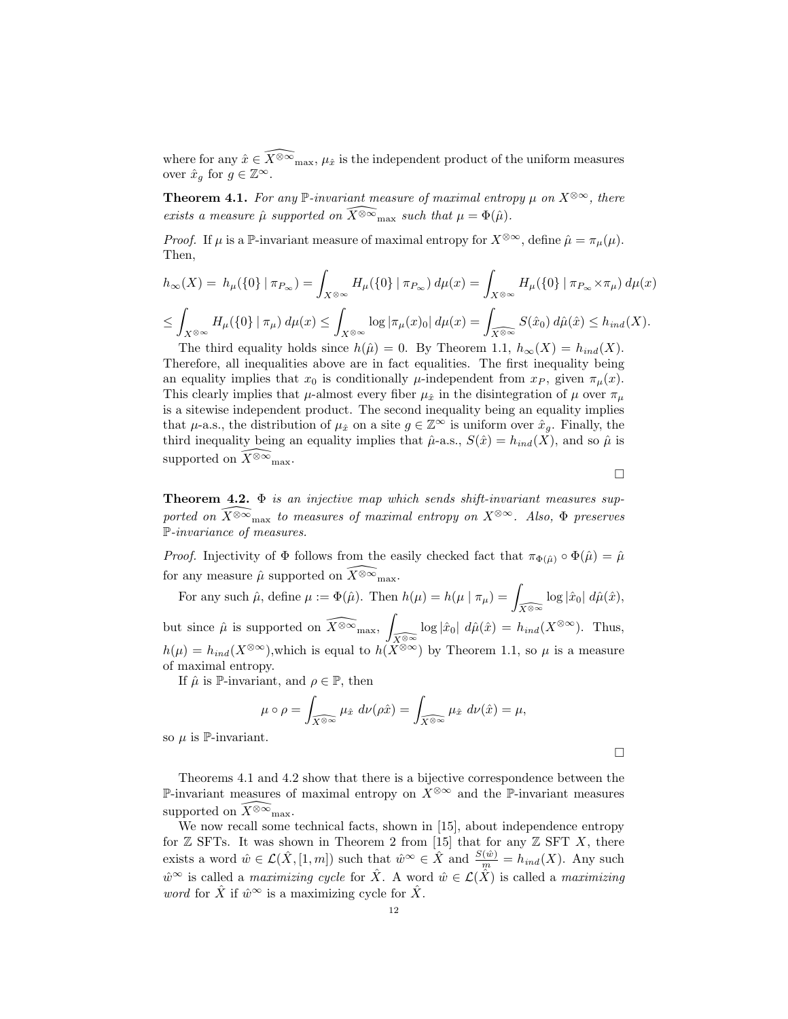where for any  $\hat{x} \in \widehat{X^{\otimes \infty}}_{\text{max}}$ ,  $\mu_{\hat{x}}$  is the independent product of the uniform measures over  $\hat{x}_g$  for  $g \in \mathbb{Z}^\infty$ .

**Theorem 4.1.** For any P-invariant measure of maximal entropy  $\mu$  on  $X^{\otimes \infty}$ , there exists a measure  $\hat{\mu}$  supported on  $\widehat{X^{\otimes \infty}}_{\text{max}}$  such that  $\mu = \Phi(\hat{\mu})$ .

*Proof.* If  $\mu$  is a P-invariant measure of maximal entropy for  $X^{\otimes \infty}$ , define  $\hat{\mu} = \pi_{\mu}(\mu)$ . Then,

$$
h_{\infty}(X) = h_{\mu}(\{0\} | \pi_{P_{\infty}}) = \int_{X^{\otimes \infty}} H_{\mu}(\{0\} | \pi_{P_{\infty}}) d\mu(x) = \int_{X^{\otimes \infty}} H_{\mu}(\{0\} | \pi_{P_{\infty}} \times \pi_{\mu}) d\mu(x)
$$
  

$$
\leq \int_{X^{\otimes \infty}} H_{\mu}(\{0\} | \pi_{\mu}) d\mu(x) \leq \int_{X^{\otimes \infty}} \log |\pi_{\mu}(x)_{0}| d\mu(x) = \int_{\widehat{X^{\otimes \infty}}} S(\hat{x}_{0}) d\hat{\mu}(\hat{x}) \leq h_{ind}(X).
$$

The third equality holds since  $h(\hat{\mu}) = 0$ . By Theorem 1.1,  $h_{\infty}(X) = h_{ind}(X)$ . Therefore, all inequalities above are in fact equalities. The first inequality being an equality implies that  $x_0$  is conditionally  $\mu$ -independent from  $x_P$ , given  $\pi_\mu(x)$ . This clearly implies that  $\mu$ -almost every fiber  $\mu_{\hat{x}}$  in the disintegration of  $\mu$  over  $\pi_{\mu}$ is a sitewise independent product. The second inequality being an equality implies that  $\mu$ -a.s., the distribution of  $\mu_{\hat{x}}$  on a site  $g \in \mathbb{Z}^{\infty}$  is uniform over  $\hat{x}_q$ . Finally, the third inequality being an equality implies that  $\hat{\mu}$ -a.s.,  $S(\hat{x}) = h_{ind}(X)$ , and so  $\hat{\mu}$  is supported on  $\widetilde{X}^{\otimes \infty}$ <sub>max</sub>.

 $\Box$ 

**Theorem 4.2.**  $\Phi$  is an injective map which sends shift-invariant measures supported on  $\widehat{X^{\otimes \infty}}_{\text{max}}$  to measures of maximal entropy on  $X^{\otimes \infty}$ . Also,  $\Phi$  preserves P-invariance of measures.

*Proof.* Injectivity of  $\Phi$  follows from the easily checked fact that  $\pi_{\Phi(\hat{\mu})} \circ \Phi(\hat{\mu}) = \hat{\mu}$ for any measure  $\hat{\mu}$  supported on  $\widehat{X}^{\otimes \infty}$ <sub>max</sub>.

For any such  $\hat{\mu}$ , define  $\mu := \Phi(\hat{\mu})$ . Then  $h(\mu) = h(\mu | \pi_{\mu}) = \int_{\widehat{X \otimes \infty}} \log |\hat{x}_0| \ d\hat{\mu}(\hat{x}),$ but since  $\hat{\mu}$  is supported on  $\widehat{X^{\otimes \infty}}_{\text{max}}$ ,  $\int_{\widehat{X}^{\otimes\infty}} \log |\hat{x}_0| \ d\hat{\mu}(\hat{x}) = h_{ind}(X^{\otimes\infty})$ . Thus,  $h(\mu) = h_{ind}(X^{\otimes \infty})$ , which is equal to  $h(X^{\otimes \infty})$  by Theorem 1.1, so  $\mu$  is a measure of maximal entropy.

If  $\hat{\mu}$  is P-invariant, and  $\rho \in \mathbb{P}$ , then

$$
\mu \circ \rho = \int_{\widehat{X}^{\otimes \infty}} \mu_{\hat{x}} d\nu(\rho \hat{x}) = \int_{\widehat{X}^{\otimes \infty}} \mu_{\hat{x}} d\nu(\hat{x}) = \mu,
$$

so  $\mu$  is P-invariant.

 $\Box$ 

Theorems 4.1 and 4.2 show that there is a bijective correspondence between the P-invariant measures of maximal entropy on  $X^{\otimes \infty}$  and the P-invariant measures supported on  $\widetilde{X^{\otimes \infty}}_{\text{max}}$ .

We now recall some technical facts, shown in [15], about independence entropy for  $\mathbb Z$  SFTs. It was shown in Theorem 2 from [15] that for any  $\mathbb Z$  SFT X, there exists a word  $\hat{w} \in \mathcal{L}(\hat{X}, [1, m])$  such that  $\hat{w}^{\infty} \in \hat{X}$  and  $\frac{S(\hat{w})}{m} = h_{ind}(X)$ . Any such  $\hat{w}^{\infty}$  is called a maximizing cycle for  $\hat{X}$ . A word  $\hat{w} \in \mathcal{L}(\hat{X})$  is called a maximizing *word* for  $\hat{X}$  if  $\hat{w}^{\infty}$  is a maximizing cycle for  $\hat{X}$ .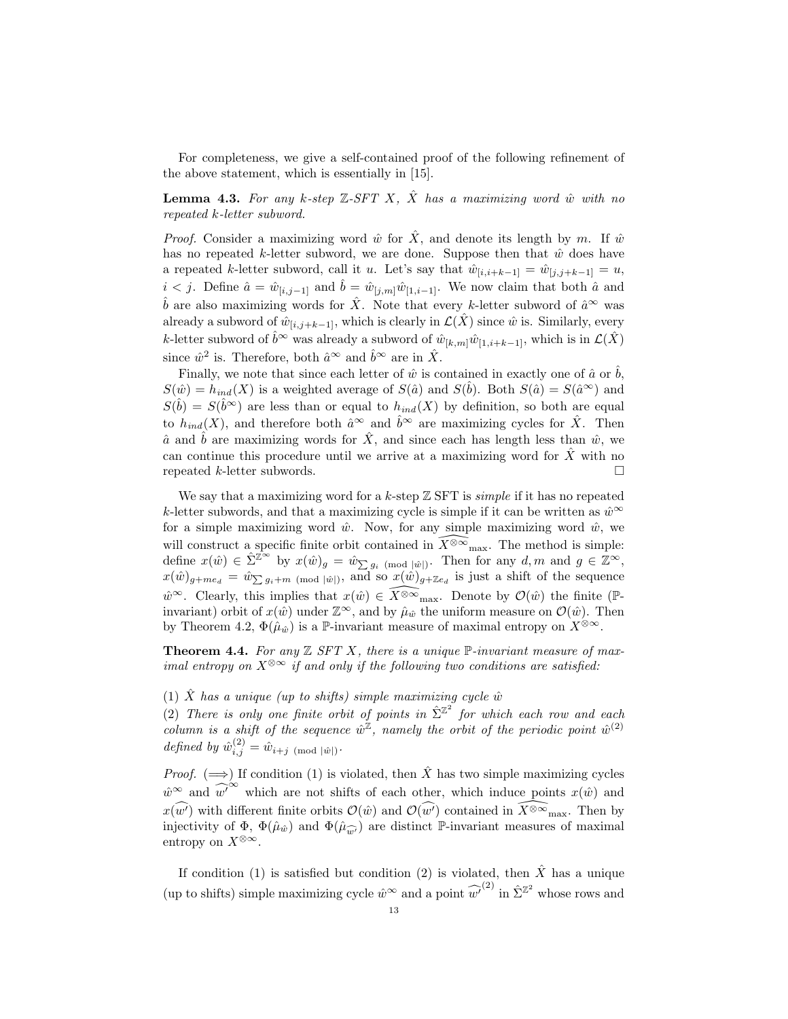For completeness, we give a self-contained proof of the following refinement of the above statement, which is essentially in [15].

**Lemma 4.3.** For any k-step  $\mathbb{Z}-SFT$  X,  $\hat{X}$  has a maximizing word  $\hat{w}$  with no repeated k-letter subword.

*Proof.* Consider a maximizing word  $\hat{w}$  for  $\hat{X}$ , and denote its length by m. If  $\hat{w}$ has no repeated k-letter subword, we are done. Suppose then that  $\hat{w}$  does have a repeated k-letter subword, call it u. Let's say that  $\hat{w}_{[i,i+k-1]} = \hat{w}_{[j,j+k-1]} = u$ ,  $i < j$ . Define  $\hat{a} = \hat{w}_{[i,j-1]}$  and  $\hat{b} = \hat{w}_{[j,m]}\hat{w}_{[1,i-1]}$ . We now claim that both  $\hat{a}$  and  $\hat{b}$  are also maximizing words for  $\hat{X}$ . Note that every k-letter subword of  $\hat{a}^{\infty}$  was already a subword of  $\hat{w}_{[i,j+k-1]}$ , which is clearly in  $\mathcal{L}(\hat{X})$  since  $\hat{w}$  is. Similarly, every k-letter subword of  $\hat{b}^{\infty}$  was already a subword of  $\hat{w}_{[k,m]}\hat{w}_{[1,i+k-1]}$ , which is in  $\mathcal{L}(\hat{X})$ since  $\hat{w}^2$  is. Therefore, both  $\hat{a}^{\infty}$  and  $\hat{b}^{\infty}$  are in  $\hat{X}$ .

Finally, we note that since each letter of  $\hat{w}$  is contained in exactly one of  $\hat{a}$  or  $\hat{b}$ ,  $S(\hat{w}) = h_{ind}(X)$  is a weighted average of  $S(\hat{a})$  and  $S(\hat{b})$ . Both  $S(\hat{a}) = S(\hat{a}^{\infty})$  and  $S(\hat{b}) = S(\hat{b}^{\infty})$  are less than or equal to  $h_{ind}(X)$  by definition, so both are equal to  $h_{ind}(X)$ , and therefore both  $\hat{a}^{\infty}$  and  $\hat{b}^{\infty}$  are maximizing cycles for  $\hat{X}$ . Then  $\hat{a}$  and  $\hat{b}$  are maximizing words for  $\hat{X}$ , and since each has length less than  $\hat{w}$ , we can continue this procedure until we arrive at a maximizing word for  $\hat{X}$  with no repeated k-letter subwords.

We say that a maximizing word for a k-step  $\mathbb Z$  SFT is *simple* if it has no repeated k-letter subwords, and that a maximizing cycle is simple if it can be written as  $\hat{w}^{\infty}$ for a simple maximizing word  $\hat{w}$ . Now, for any simple maximizing word  $\hat{w}$ , we will construct a specific finite orbit contained in  $\widehat{X^{\otimes \infty}}_{\text{max}}$ . The method is simple: define  $x(\hat{w}) \in \hat{\Sigma}^{\mathbb{Z}^{\infty}}$  by  $x(\hat{w})_g = \hat{w}_{\sum g_i \pmod{|\hat{w}|}}$ . Then for any  $d, m$  and  $g \in \mathbb{Z}^{\infty}$ ,  $x(\hat{w})_{g+me_d} = \hat{w}_{\sum g_i+m \pmod{|\hat{w}|}}$ , and so  $x(\hat{w})_{g+\mathbb{Z}e_d}$  is just a shift of the sequence  $\hat{w}^{\infty}$ . Clearly, this implies that  $x(\hat{w}) \in \widehat{X}^{\otimes \infty}$ <sub>max</sub>. Denote by  $\mathcal{O}(\hat{w})$  the finite (Pinvariant) orbit of  $x(\hat{w})$  under  $\mathbb{Z}^{\infty}$ , and by  $\hat{\mu}_{\hat{w}}$  the uniform measure on  $\mathcal{O}(\hat{w})$ . Then by Theorem 4.2,  $\Phi(\hat{\mu}_{\hat{w}})$  is a P-invariant measure of maximal entropy on  $X^{\otimes \infty}$ .

**Theorem 4.4.** For any  $\mathbb{Z}$  SFT X, there is a unique  $\mathbb{P}$ -invariant measure of maximal entropy on  $X^{\otimes \infty}$  if and only if the following two conditions are satisfied:

## (1)  $\hat{X}$  has a unique (up to shifts) simple maximizing cycle  $\hat{w}$

(2) There is only one finite orbit of points in  $\hat{\Sigma}^{\mathbb{Z}^2}$  for which each row and each column is a shift of the sequence  $\hat{w}^{\mathbb{Z}}$ , namely the orbit of the periodic point  $\hat{w}^{(2)}$ defined by  $\hat{w}_{i,j}^{(2)} = \hat{w}_{i+j \pmod{|\hat{w}|}}$ .

*Proof.* ( $\implies$ ) If condition (1) is violated, then  $\hat{X}$  has two simple maximizing cycles  $\hat{w}^{\infty}$  and  $\hat{w'}^{\infty}$  which are not shifts of each other, which induce points  $x(\hat{w})$  and  $x(\widehat{w'})$  with different finite orbits  $\mathcal{O}(\hat{w})$  and  $\mathcal{O}(\widehat{w'})$  contained in  $\widehat{X^{\otimes \infty}}_{\max}$ . Then by injectivity of  $\Phi$ ,  $\Phi(\hat{\mu}_{\hat{w}})$  and  $\Phi(\hat{\mu}_{\hat{w}})$  are distinct P-invariant measures of maximal entropy on  $X^{\otimes \infty}$ .

If condition (1) is satisfied but condition (2) is violated, then  $\hat{X}$  has a unique (up to shifts) simple maximizing cycle  $\hat{w}^{\infty}$  and a point  $\widehat{w'}^{(2)}$  in  $\hat{\Sigma}^{\mathbb{Z}^2}$  whose rows and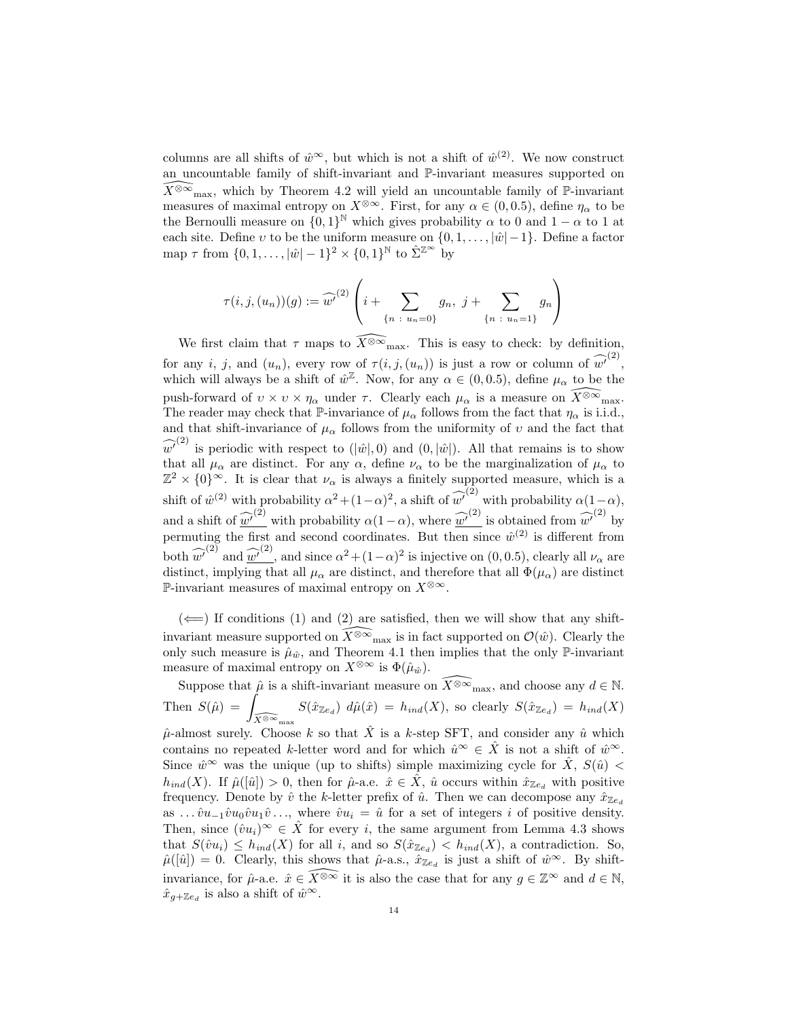columns are all shifts of  $\hat{w}^{\infty}$ , but which is not a shift of  $\hat{w}^{(2)}$ . We now construct an uncountable family of shift-invariant and  $\mathbb{P}\text{-invariant measures supported on }$  $\widehat{X^{\otimes \infty}}_{\text{max}}$ , which by Theorem 4.2 will yield an uncountable family of P-invariant measures of maximal entropy on  $X^{\otimes \infty}$ . First, for any  $\alpha \in (0, 0.5)$ , define  $\eta_{\alpha}$  to be the Bernoulli measure on  $\{0,1\}^{\mathbb{N}}$  which gives probability  $\alpha$  to 0 and 1 –  $\alpha$  to 1 at each site. Define v to be the uniform measure on  $\{0, 1, \ldots, |\hat{w}|-1\}$ . Define a factor map  $\tau$  from  $\{0, 1, \ldots, |\hat{w}| - 1\}^2 \times \{0, 1\}^{\mathbb{N}}$  to  $\hat{\Sigma}^{\mathbb{Z}^{\infty}}$  by

$$
\tau(i,j,(u_n))(g) := \widehat{w'}^{(2)}\left(i + \sum_{\{n \ : \ u_n=0\}} g_n, \ j + \sum_{\{n \ : \ u_n=1\}} g_n\right)
$$

We first claim that  $\tau$  maps to  $\widehat{X^{\otimes \infty}}_{\text{max}}$ . This is easy to check: by definition, for any i, j, and  $(u_n)$ , every row of  $\tau(i, j, (u_n))$  is just a row or column of  $\widehat{w'}^{(2)}$ , which will always be a shift of  $\hat{w}^{\mathbb{Z}}$ . Now, for any  $\alpha \in (0, 0.5)$ , define  $\mu_{\alpha}$  to be the push-forward of  $v \times v \times \eta_{\alpha}$  under  $\tau$ . Clearly each  $\mu_{\alpha}$  is a measure on  $\widehat{X^{\otimes \infty}}_{\text{max}}$ . The reader may check that P-invariance of  $\mu_{\alpha}$  follows from the fact that  $\eta_{\alpha}$  is i.i.d., and that shift-invariance of  $\mu_{\alpha}$  follows from the uniformity of v and the fact that  $\widehat{w'}^{(2)}$  is periodic with respect to  $(|\hat{w}|, 0)$  and  $(0, |\hat{w}|)$ . All that remains is to show that all  $\mu_{\alpha}$  are distinct. For any  $\alpha$ , define  $\nu_{\alpha}$  to be the marginalization of  $\mu_{\alpha}$  to  $\mathbb{Z}^2 \times \{0\}^{\infty}$ . It is clear that  $\nu_{\alpha}$  is always a finitely supported measure, which is a shift of  $\hat{w}^{(2)}$  with probability  $\alpha^2 + (1-\alpha)^2$ , a shift of  $\hat{w'}^{(2)}$  with probability  $\alpha(1-\alpha)$ , and a shift of  $\widehat{w'}^{(2)}$  with probability  $\alpha(1-\alpha)$ , where  $\widehat{w'}^{(2)}$  is obtained from  $\widehat{w'}^{(2)}$  by permuting the first and second coordinates. But then since  $\hat{w}^{(2)}$  is different from both  $\widehat{w'}^{(2)}$  and  $\widehat{w'}^{(2)}$ , and since  $\alpha^2 + (1-\alpha)^2$  is injective on (0, 0.5), clearly all  $\nu_{\alpha}$  are distinct, implying that all  $\mu_{\alpha}$  are distinct, and therefore that all  $\Phi(\mu_{\alpha})$  are distinct P-invariant measures of maximal entropy on  $X^{\otimes \infty}$ .

 $(\Leftarrow)$  If conditions (1) and (2) are satisfied, then we will show that any shiftinvariant measure supported on  $\widehat{X^{\otimes \infty}}_{\text{max}}$  is in fact supported on  $\mathcal{O}(\hat w)$ . Clearly the only such measure is  $\hat{\mu}_{\hat{w}}$ , and Theorem 4.1 then implies that the only P-invariant measure of maximal entropy on  $X^{\otimes \infty}$  is  $\Phi(\hat{\mu}_{\hat{w}})$ .

Suppose that  $\hat{\mu}$  is a shift-invariant measure on  $\widehat{X^{\otimes \infty}}_{\text{max}}$ , and choose any  $d \in \mathbb{N}$ . Then  $S(\hat{\mu}) =$  $\int_{\widehat{X}^{\otimes\infty}_{\max}} S(\hat{x}_{\mathbb{Z}e_d}) d\hat{\mu}(\hat{x}) = h_{ind}(X)$ , so clearly  $S(\hat{x}_{\mathbb{Z}e_d}) = h_{ind}(X)$  $\hat{\mu}$ -almost surely. Choose k so that  $\hat{X}$  is a k-step SFT, and consider any  $\hat{u}$  which contains no repeated k-letter word and for which  $\hat{u}^{\infty} \in \hat{X}$  is not a shift of  $\hat{w}^{\infty}$ . Since  $\hat{w}^{\infty}$  was the unique (up to shifts) simple maximizing cycle for  $\hat{X}$ ,  $S(\hat{u})$  <  $h_{ind}(X)$ . If  $\hat{\mu}([\hat{u}]) > 0$ , then for  $\hat{\mu}$ -a.e.  $\hat{x} \in \hat{X}$ ,  $\hat{u}$  occurs within  $\hat{x}_{\mathbb{Z}e_d}$  with positive frequency. Denote by  $\hat{v}$  the k-letter prefix of  $\hat{u}$ . Then we can decompose any  $\hat{x}_{\mathbb{Z}_{e_d}}$ as ...  $\hat{v}u_{-1}\hat{v}u_0\hat{v}u_1\hat{v}...$ , where  $\hat{v}u_i = \hat{u}$  for a set of integers i of positive density. Then, since  $(\hat{v}u_i)^\infty \in \hat{X}$  for every i, the same argument from Lemma 4.3 shows that  $S(\hat{v}u_i) \leq h_{ind}(X)$  for all i, and so  $S(\hat{x}_{\mathbb{Z}_{e_d}}) < h_{ind}(X)$ , a contradiction. So,  $\hat{\mu}([\hat{u}]) = 0$ . Clearly, this shows that  $\hat{\mu}$ -a.s.,  $\hat{x}_{\mathbb{Z}_{e_d}}$  is just a shift of  $\hat{w}^{\infty}$ . By shiftinvariance, for  $\hat{\mu}$ -a.e.  $\hat{x} \in \widehat{X^{\otimes \infty}}$  it is also the case that for any  $g \in \mathbb{Z}^{\infty}$  and  $d \in \mathbb{N}$ ,  $\hat{x}_{g+\mathbb{Z}e_d}$  is also a shift of  $\hat{w}^{\infty}$ .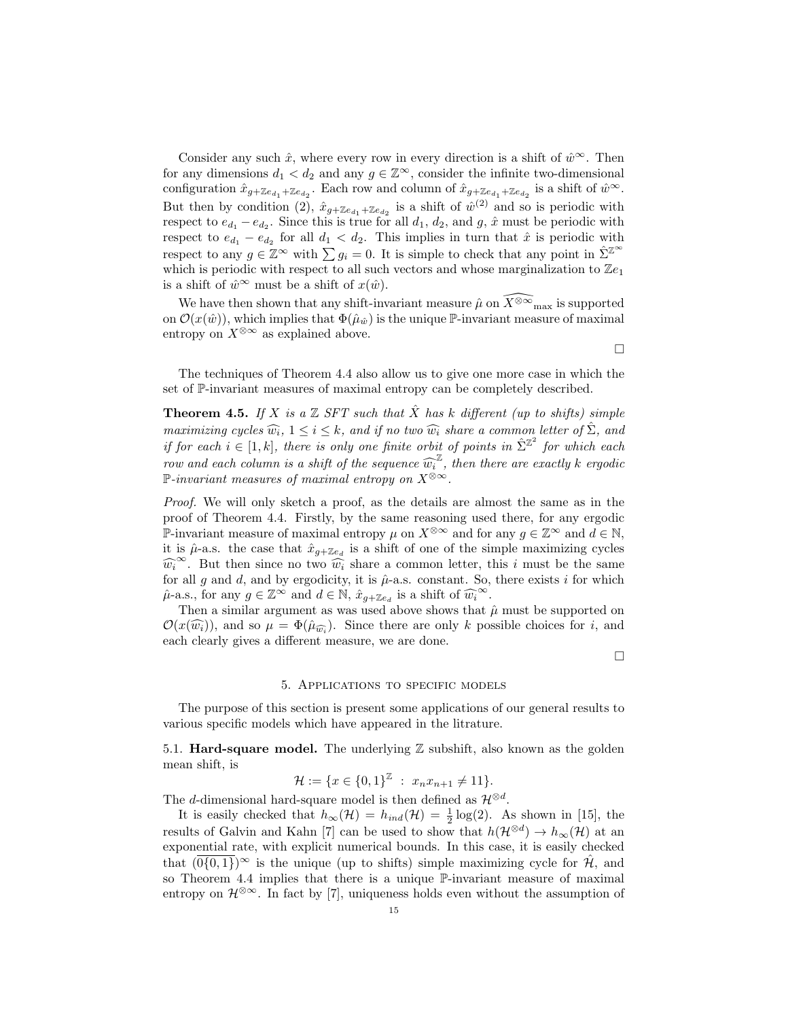Consider any such  $\hat{x}$ , where every row in every direction is a shift of  $\hat{w}^{\infty}$ . Then for any dimensions  $d_1 < d_2$  and any  $g \in \mathbb{Z}^{\infty}$ , consider the infinite two-dimensional configuration  $\hat{x}_{g + \mathbb{Z}e_{d_1} + \mathbb{Z}e_{d_2}}$ . Each row and column of  $\hat{x}_{g + \mathbb{Z}e_{d_1} + \mathbb{Z}e_{d_2}}$  is a shift of  $\hat{w}^{\infty}$ . But then by condition (2),  $\hat{x}_{g+\mathbb{Z}e_{d_1}+\mathbb{Z}e_{d_2}}$  is a shift of  $\hat{w}^{(2)}$  and so is periodic with respect to  $e_{d_1} - e_{d_2}$ . Since this is true for all  $d_1$ ,  $d_2$ , and  $g$ ,  $\hat{x}$  must be periodic with respect to  $e_{d_1} - e_{d_2}$  for all  $d_1 < d_2$ . This implies in turn that  $\hat{x}$  is periodic with respect to any  $g \in \mathbb{Z}^{\infty}$  with  $\sum g_i = 0$ . It is simple to check that any point in  $\hat{\Sigma}^{\mathbb{Z}^{\infty}}$ which is periodic with respect to all such vectors and whose marginalization to  $\mathbb{Z}e_1$ is a shift of  $\hat{w}^{\infty}$  must be a shift of  $x(\hat{w})$ .

We have then shown that any shift-invariant measure  $\hat{\mu}$  on  $\widetilde{X}^{\otimes \infty}$ <sub>max</sub> is supported on  $\mathcal{O}(x(\hat{w}))$ , which implies that  $\Phi(\hat{\mu}_{\hat{w}})$  is the unique P-invariant measure of maximal entropy on  $X^{\otimes \infty}$  as explained above.

The techniques of Theorem 4.4 also allow us to give one more case in which the set of P-invariant measures of maximal entropy can be completely described.

**Theorem 4.5.** If X is a  $\mathbb{Z}$  SFT such that  $\hat{X}$  has k different (up to shifts) simple maximizing cycles  $\widehat{w_i}$ ,  $1 \leq i \leq k$ , and if no two  $\widehat{w_i}$  share a common letter of  $\widehat{\Sigma}$ , and if for each  $i \in [1, k]$ , there is only one finite orbit of points in  $\hat{\Sigma}^{\mathbb{Z}^2}$  for which each row and each column is a shift of the sequence  $\widehat{w_i}^{\mathbb{Z}}$ , then there are exactly k ergodic  $\mathbb{P}$  invariant measures of marinal entropy on  $X^{\otimes \infty}$ P-invariant measures of maximal entropy on  $X^{\otimes \infty}$ .

Proof. We will only sketch a proof, as the details are almost the same as in the proof of Theorem 4.4. Firstly, by the same reasoning used there, for any ergodic P-invariant measure of maximal entropy  $\mu$  on  $X^{\otimes \infty}$  and for any  $g \in \mathbb{Z}^{\infty}$  and  $d \in \mathbb{N}$ , it is  $\hat{\mu}$ -a.s. the case that  $\hat{x}_{g+{\mathbb{Z}} e_d}$  is a shift of one of the simple maximizing cycles  $\widehat{w_i}^{\infty}$ . But then since no two  $\widehat{w_i}$  share a common letter, this *i* must be the same for all g and d, and by ergodicity, it is  $\hat{\mu}$ -a.s. constant. So, there exists i for which  $\hat{\mu}$ -a.s., for any  $g \in \mathbb{Z}^{\infty}$  and  $d \in \mathbb{N}$ ,  $\hat{x}_{g + \mathbb{Z}e_d}$  is a shift of  $\widehat{w_i^{\infty}}$ .<br>Then a similar argument as was used above shows that

Then a similar argument as was used above shows that  $\hat{\mu}$  must be supported on  $\mathcal{O}(x(\widehat{w_i}))$ , and so  $\mu = \Phi(\hat{\mu}_{\widehat{w_i}})$ . Since there are only k possible choices for i, and each clearly gives a different measure, we are done.

 $\Box$ 

 $\Box$ 

#### 5. Applications to specific models

The purpose of this section is present some applications of our general results to various specific models which have appeared in the litrature.

5.1. **Hard-square model.** The underlying  $\mathbb Z$  subshift, also known as the golden mean shift, is

 $\mathcal{H} := \{x \in \{0,1\}^{\mathbb{Z}} : x_n x_{n+1} \neq 11\}.$ 

The d-dimensional hard-square model is then defined as  $\mathcal{H}^{\otimes d}$ .

It is easily checked that  $h_{\infty}(\mathcal{H}) = h_{ind}(\mathcal{H}) = \frac{1}{2} \log(2)$ . As shown in [15], the results of Galvin and Kahn [7] can be used to show that  $h(\mathcal{H}^{\otimes d}) \to h_{\infty}(\mathcal{H})$  at an exponential rate, with explicit numerical bounds. In this case, it is easily checked that  $(0{0,1})^{\infty}$  is the unique (up to shifts) simple maximizing cycle for  $\hat{\mathcal{H}}$ , and so Theorem 4.4 implies that there is a unique  $\mathbb{P}$ -invariant measure of maximal entropy on  $\mathcal{H}^{\otimes \infty}$ . In fact by [7], uniqueness holds even without the assumption of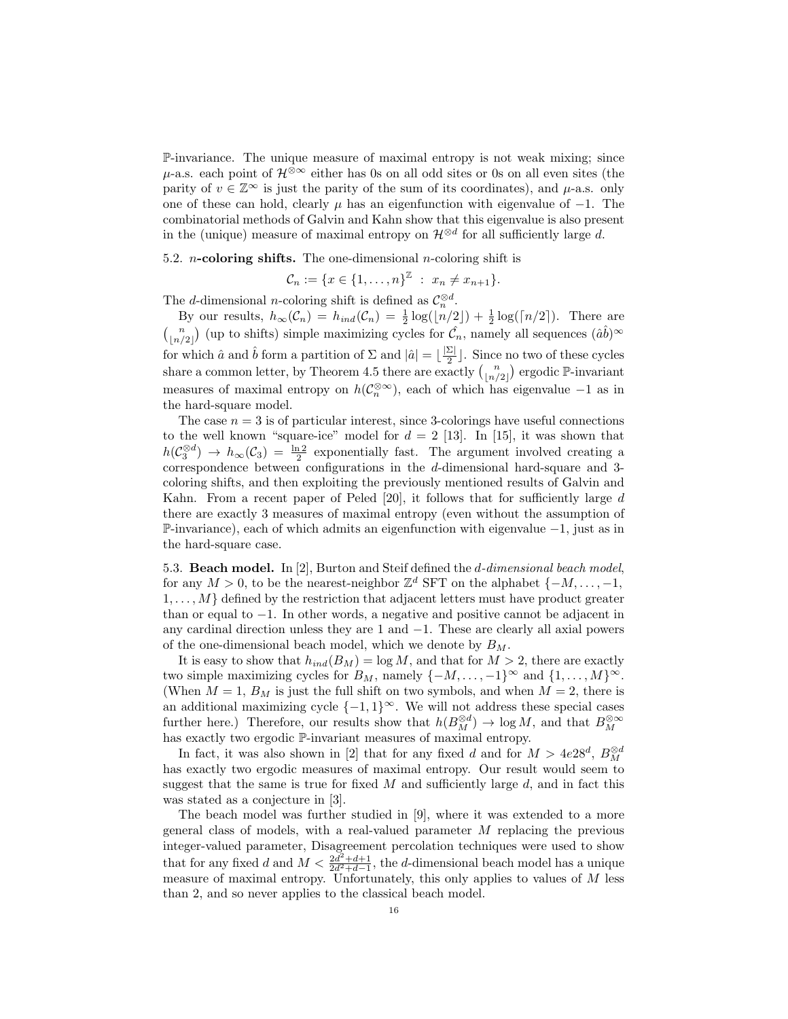P-invariance. The unique measure of maximal entropy is not weak mixing; since  $\mu$ -a.s. each point of  $\mathcal{H}^{\otimes \infty}$  either has 0s on all odd sites or 0s on all even sites (the parity of  $v \in \mathbb{Z}^{\infty}$  is just the parity of the sum of its coordinates), and  $\mu$ -a.s. only one of these can hold, clearly  $\mu$  has an eigenfunction with eigenvalue of  $-1$ . The combinatorial methods of Galvin and Kahn show that this eigenvalue is also present in the (unique) measure of maximal entropy on  $\mathcal{H}^{\otimes d}$  for all sufficiently large d.

5.2. *n*-coloring shifts. The one-dimensional *n*-coloring shift is

$$
C_n := \{x \in \{1, \ldots, n\}^{\mathbb{Z}} : x_n \neq x_{n+1}\}.
$$

The *d*-dimensional *n*-coloring shift is defined as  $C_n^{\otimes d}$ .

By our results,  $h_{\infty}(\mathcal{C}_n) = h_{ind}(\mathcal{C}_n) = \frac{1}{2} \log(\lfloor n/2 \rfloor) + \frac{1}{2} \log(\lfloor n/2 \rfloor)$ . There are  $\binom{n}{\lfloor n/2 \rfloor}$  (up to shifts) simple maximizing cycles for  $\hat{\mathcal{C}}_n$ , namely all sequences  $(\hat{a}\hat{b})^{\infty}$ for which  $\hat{a}$  and  $\hat{b}$  form a partition of  $\Sigma$  and  $|\hat{a}| = \lfloor \frac{|\Sigma|}{2} \rfloor$  $\frac{21}{2}$ . Since no two of these cycles share a common letter, by Theorem 4.5 there are exactly  $\binom{n}{\lfloor n/2 \rfloor}$  ergodic  $\mathbb{P}$ -invariant measures of maximal entropy on  $h(\mathcal{C}_n^{\otimes \infty})$ , each of which has eigenvalue -1 as in the hard-square model.

The case  $n = 3$  is of particular interest, since 3-colorings have useful connections to the well known "square-ice" model for  $d = 2$  [13]. In [15], it was shown that  $h(\mathcal{C}_3^{\otimes d}) \to h_\infty(\mathcal{C}_3) = \frac{\ln 2}{2}$  exponentially fast. The argument involved creating a correspondence between configurations in the d-dimensional hard-square and 3 coloring shifts, and then exploiting the previously mentioned results of Galvin and Kahn. From a recent paper of Peled [20], it follows that for sufficiently large d there are exactly 3 measures of maximal entropy (even without the assumption of P-invariance), each of which admits an eigenfunction with eigenvalue −1, just as in the hard-square case.

5.3. Beach model. In [2], Burton and Steif defined the d-dimensional beach model, for any  $M > 0$ , to be the nearest-neighbor  $\mathbb{Z}^d$  SFT on the alphabet  $\{-M, \ldots, -1,$  $1, \ldots, M$  defined by the restriction that adjacent letters must have product greater than or equal to −1. In other words, a negative and positive cannot be adjacent in any cardinal direction unless they are 1 and −1. These are clearly all axial powers of the one-dimensional beach model, which we denote by  $B_M$ .

It is easy to show that  $h_{ind}(B_M) = \log M$ , and that for  $M > 2$ , there are exactly two simple maximizing cycles for  $B_M$ , namely  $\{-M, \ldots, -1\}^{\infty}$  and  $\{1, \ldots, M\}^{\infty}$ . (When  $M = 1$ ,  $B_M$  is just the full shift on two symbols, and when  $M = 2$ , there is an additional maximizing cycle  $\{-1,1\}^{\infty}$ . We will not address these special cases further here.) Therefore, our results show that  $h(B_M^{\otimes d}) \to \log M$ , and that  $B_M^{\otimes \infty}$ has exactly two ergodic P-invariant measures of maximal entropy.

In fact, it was also shown in [2] that for any fixed d and for  $M > 4e28^d$ ,  $B_M^{\otimes d}$ has exactly two ergodic measures of maximal entropy. Our result would seem to suggest that the same is true for fixed  $M$  and sufficiently large  $d$ , and in fact this was stated as a conjecture in [3].

The beach model was further studied in [9], where it was extended to a more general class of models, with a real-valued parameter M replacing the previous integer-valued parameter, Disagreement percolation techniques were used to show that for any fixed d and  $M < \frac{2d^2 + d + 1}{2d^2 + d - 1}$ , the d-dimensional beach model has a unique measure of maximal entropy. Unfortunately, this only applies to values of  $M$  less than 2, and so never applies to the classical beach model.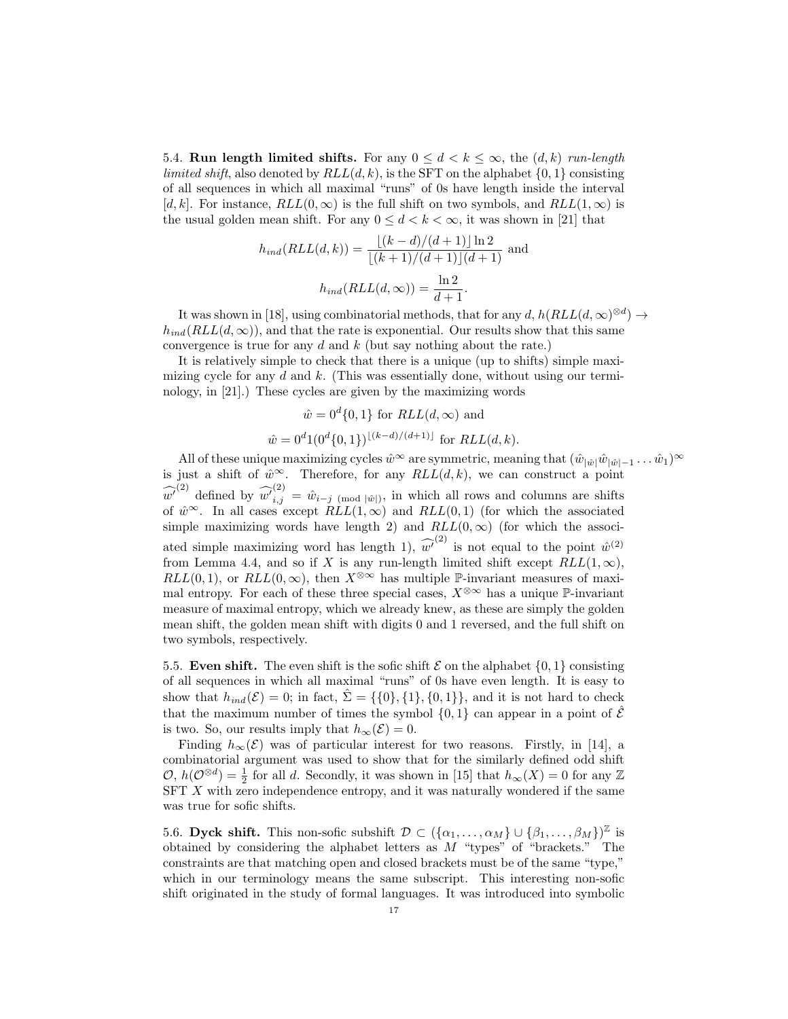5.4. Run length limited shifts. For any  $0 \leq d \leq k \leq \infty$ , the  $(d, k)$  run-length limited shift, also denoted by  $RLL(d, k)$ , is the SFT on the alphabet  $\{0, 1\}$  consisting of all sequences in which all maximal "runs" of 0s have length inside the interval [d, k]. For instance,  $RLL(0, \infty)$  is the full shift on two symbols, and  $RLL(1, \infty)$  is the usual golden mean shift. For any  $0 \leq d < k < \infty$ , it was shown in [21] that

$$
h_{ind}(RLL(d, k)) = \frac{\lfloor (k - d)/(d + 1) \rfloor \ln 2}{\lfloor (k + 1)/(d + 1) \rfloor (d + 1)}
$$
 and  

$$
h_{ind}(RLL(d, \infty)) = \frac{\ln 2}{d + 1}.
$$

It was shown in [18], using combinatorial methods, that for any  $d$ ,  $h(RLL(d,\infty)^{\otimes d}) \rightarrow$  $h_{ind}(RLL(d,\infty))$ , and that the rate is exponential. Our results show that this same convergence is true for any  $d$  and  $k$  (but say nothing about the rate.)

It is relatively simple to check that there is a unique (up to shifts) simple maximizing cycle for any  $d$  and  $k$ . (This was essentially done, without using our terminology, in [21].) These cycles are given by the maximizing words

$$
\hat{w} = 0^d \{0, 1\}
$$
 for  $RLL(d, \infty)$  and  

$$
\hat{w} = 0^d 1(0^d \{0, 1\})^{\lfloor (k-d)/(d+1) \rfloor}
$$
 for  $RLL(d, k)$ .

All of these unique maximizing cycles  $\hat{w}^{\infty}$  are symmetric, meaning that  $(\hat{w}_{|\hat{w}|}\hat{w}_{|\hat{w}|-1}\dots\hat{w}_1)^{\infty}$ is just a shift of  $\hat{w}^{\infty}$ . Therefore, for any  $RLL(d, k)$ , we can construct a point  $\widehat{w'}^{(2)}$  defined by  $\widehat{w'}^{(2)}_{i,j} = \hat{w}_{i-j \pmod{|\hat{w}|}}$ , in which all rows and columns are shifts of  $\hat{w}^{\infty}$ . In all cases except  $RLL(1,\infty)$  and  $RLL(0,1)$  (for which the associated simple maximizing words have length 2) and  $RLL(0, \infty)$  (for which the associated simple maximizing word has length 1),  $\widehat{w'}^{(2)}$  is not equal to the point  $\hat{w}^{(2)}$ from Lemma 4.4, and so if X is any run-length limited shift except  $RLL(1,\infty)$ ,  $RLL(0, 1)$ , or  $RLL(0, \infty)$ , then  $X^{\otimes \infty}$  has multiple P-invariant measures of maximal entropy. For each of these three special cases,  $X^{\otimes \infty}$  has a unique P-invariant measure of maximal entropy, which we already knew, as these are simply the golden mean shift, the golden mean shift with digits 0 and 1 reversed, and the full shift on two symbols, respectively.

5.5. Even shift. The even shift is the sofic shift  $\mathcal E$  on the alphabet  $\{0,1\}$  consisting of all sequences in which all maximal "runs" of 0s have even length. It is easy to show that  $h_{ind}(\mathcal{E}) = 0$ ; in fact,  $\hat{\Sigma} = \{\{0\},\{1\},\{0,1\}\}\$ , and it is not hard to check that the maximum number of times the symbol  $\{0,1\}$  can appear in a point of  $\hat{\mathcal{E}}$ is two. So, our results imply that  $h_{\infty}(\mathcal{E}) = 0$ .

Finding  $h_{\infty}(\mathcal{E})$  was of particular interest for two reasons. Firstly, in [14], a combinatorial argument was used to show that for the similarly defined odd shift  $\mathcal{O}, h(\mathcal{O}^{\otimes d}) = \frac{1}{2}$  for all d. Secondly, it was shown in [15] that  $h_{\infty}(X) = 0$  for any  $\mathbb{Z}$ SFT X with zero independence entropy, and it was naturally wondered if the same was true for sofic shifts.

5.6. Dyck shift. This non-sofic subshift  $\mathcal{D} \subset (\{\alpha_1,\ldots,\alpha_M\} \cup \{\beta_1,\ldots,\beta_M\})^{\mathbb{Z}}$  is obtained by considering the alphabet letters as  $M$  "types" of "brackets." The constraints are that matching open and closed brackets must be of the same "type," which in our terminology means the same subscript. This interesting non-sofic shift originated in the study of formal languages. It was introduced into symbolic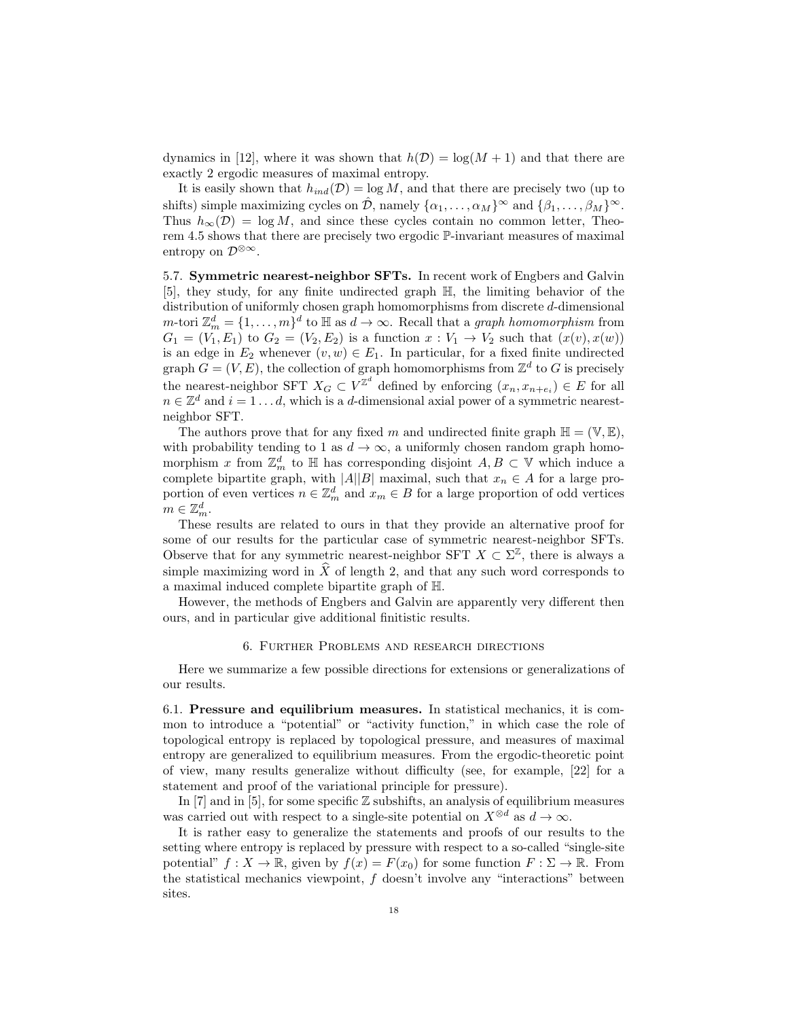dynamics in [12], where it was shown that  $h(\mathcal{D}) = \log(M + 1)$  and that there are exactly 2 ergodic measures of maximal entropy.

It is easily shown that  $h_{ind}(\mathcal{D}) = \log M$ , and that there are precisely two (up to shifts) simple maximizing cycles on  $\hat{\mathcal{D}}$ , namely  $\{\alpha_1, \dots, \alpha_M\}^{\infty}$  and  $\{\beta_1, \dots, \beta_M\}^{\infty}$ . Thus  $h_{\infty}(\mathcal{D}) = \log M$ , and since these cycles contain no common letter, Theorem 4.5 shows that there are precisely two ergodic P-invariant measures of maximal entropy on  $\mathcal{D}^{\otimes \infty}$ .

5.7. Symmetric nearest-neighbor SFTs. In recent work of Engbers and Galvin [5], they study, for any finite undirected graph H, the limiting behavior of the distribution of uniformly chosen graph homomorphisms from discrete d-dimensional *m*-tori  $\mathbb{Z}_m^d = \{1, \ldots, m\}^d$  to  $\mathbb{H}$  as  $d \to \infty$ . Recall that a *graph homomorphism* from  $G_1 = (V_1, E_1)$  to  $G_2 = (V_2, E_2)$  is a function  $x : V_1 \rightarrow V_2$  such that  $(x(v), x(w))$ is an edge in  $E_2$  whenever  $(v, w) \in E_1$ . In particular, for a fixed finite undirected graph  $G = (V, E)$ , the collection of graph homomorphisms from  $\mathbb{Z}^d$  to G is precisely the nearest-neighbor SFT  $X_G \subset V^{\mathbb{Z}^d}$  defined by enforcing  $(x_n, x_{n+e_i}) \in E$  for all  $n \in \mathbb{Z}^d$  and  $i = 1 \ldots d$ , which is a d-dimensional axial power of a symmetric nearestneighbor SFT.

The authors prove that for any fixed m and undirected finite graph  $\mathbb{H} = (\mathbb{V}, \mathbb{E}),$ with probability tending to 1 as  $d \to \infty$ , a uniformly chosen random graph homomorphism x from  $\mathbb{Z}_m^d$  to  $\mathbb{H}$  has corresponding disjoint  $A, B \subset \mathbb{V}$  which induce a complete bipartite graph, with  $|A||B|$  maximal, such that  $x_n \in A$  for a large proportion of even vertices  $n \in \mathbb{Z}_m^d$  and  $x_m \in B$  for a large proportion of odd vertices  $m \in \mathbb{Z}_m^d$ .

These results are related to ours in that they provide an alternative proof for some of our results for the particular case of symmetric nearest-neighbor SFTs. Observe that for any symmetric nearest-neighbor SFT  $X \subset \Sigma^{\mathbb{Z}}$ , there is always a simple maximizing word in  $\ddot{X}$  of length 2, and that any such word corresponds to a maximal induced complete bipartite graph of H.

However, the methods of Engbers and Galvin are apparently very different then ours, and in particular give additional finitistic results.

## 6. Further Problems and research directions

Here we summarize a few possible directions for extensions or generalizations of our results.

6.1. Pressure and equilibrium measures. In statistical mechanics, it is common to introduce a "potential" or "activity function," in which case the role of topological entropy is replaced by topological pressure, and measures of maximal entropy are generalized to equilibrium measures. From the ergodic-theoretic point of view, many results generalize without difficulty (see, for example, [22] for a statement and proof of the variational principle for pressure).

In [7] and in [5], for some specific  $\mathbb Z$  subshifts, an analysis of equilibrium measures was carried out with respect to a single-site potential on  $X^{\otimes d}$  as  $d \to \infty$ .

It is rather easy to generalize the statements and proofs of our results to the setting where entropy is replaced by pressure with respect to a so-called "single-site potential"  $f: X \to \mathbb{R}$ , given by  $f(x) = F(x_0)$  for some function  $F: \Sigma \to \mathbb{R}$ . From the statistical mechanics viewpoint,  $f$  doesn't involve any "interactions" between sites.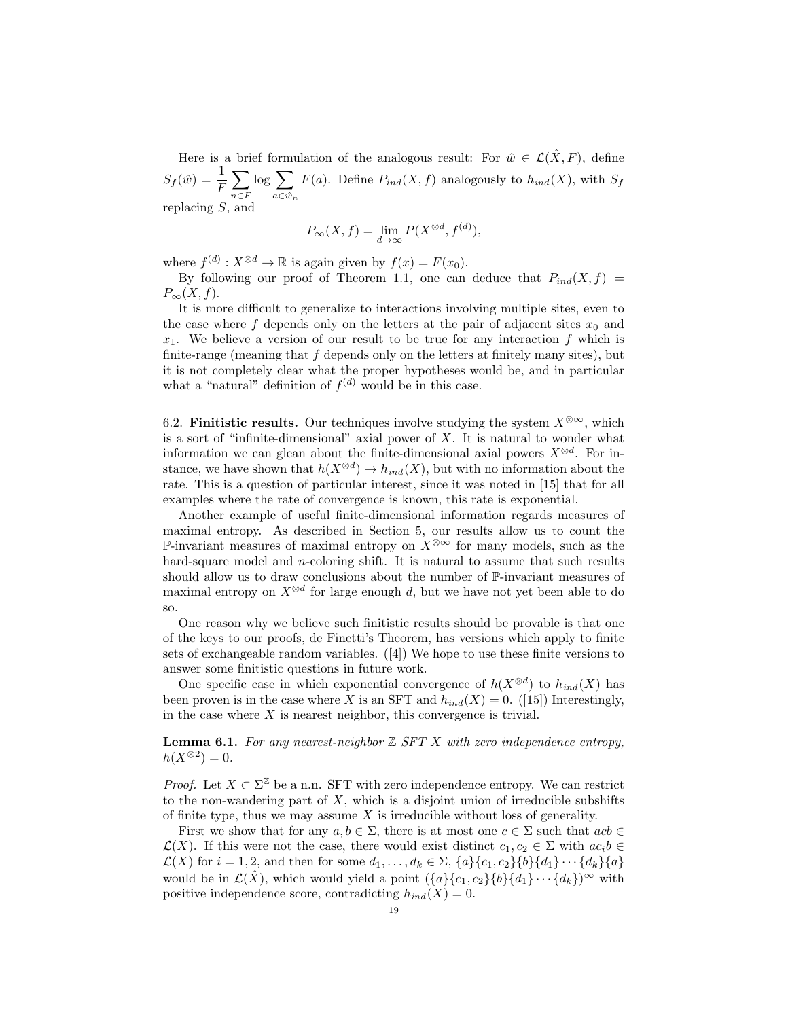Here is a brief formulation of the analogous result: For  $\hat{w} \in \mathcal{L}(\hat{X}, F)$ , define  $S_f(\hat{w}) = \frac{1}{F}$  $\sum$  $n \in F$  $log \sum$  $a \in \hat{w}_n$  $F(a)$ . Define  $P_{ind}(X, f)$  analogously to  $h_{ind}(X)$ , with  $S_f$ replacing S, and

$$
P_{\infty}(X,f) = \lim_{d \to \infty} P(X^{\otimes d}, f^{(d)}),
$$

where  $f^{(d)}: X^{\otimes d} \to \mathbb{R}$  is again given by  $f(x) = F(x_0)$ .

By following our proof of Theorem 1.1, one can deduce that  $P_{ind}(X, f) =$  $P_{\infty}(X, f).$ 

It is more difficult to generalize to interactions involving multiple sites, even to the case where f depends only on the letters at the pair of adjacent sites  $x_0$  and  $x_1$ . We believe a version of our result to be true for any interaction f which is finite-range (meaning that  $f$  depends only on the letters at finitely many sites), but it is not completely clear what the proper hypotheses would be, and in particular what a "natural" definition of  $f^{(d)}$  would be in this case.

6.2. **Finitistic results.** Our techniques involve studying the system  $X^{\otimes \infty}$ , which is a sort of "infinite-dimensional" axial power of  $X$ . It is natural to wonder what information we can glean about the finite-dimensional axial powers  $X^{\otimes d}$ . For instance, we have shown that  $h(X^{\otimes d}) \to h_{ind}(X)$ , but with no information about the rate. This is a question of particular interest, since it was noted in [15] that for all examples where the rate of convergence is known, this rate is exponential.

Another example of useful finite-dimensional information regards measures of maximal entropy. As described in Section 5, our results allow us to count the P-invariant measures of maximal entropy on  $X^{\otimes \infty}$  for many models, such as the hard-square model and *n*-coloring shift. It is natural to assume that such results should allow us to draw conclusions about the number of P-invariant measures of maximal entropy on  $X^{\otimes d}$  for large enough d, but we have not yet been able to do so.

One reason why we believe such finitistic results should be provable is that one of the keys to our proofs, de Finetti's Theorem, has versions which apply to finite sets of exchangeable random variables. ([4]) We hope to use these finite versions to answer some finitistic questions in future work.

One specific case in which exponential convergence of  $h(X^{\otimes d})$  to  $h_{ind}(X)$  has been proven is in the case where X is an SFT and  $h_{ind}(X) = 0$ . ([15]) Interestingly, in the case where  $X$  is nearest neighbor, this convergence is trivial.

**Lemma 6.1.** For any nearest-neighbor  $\mathbb{Z}$  SFT X with zero independence entropy,  $h(X^{\otimes 2})=0.$ 

*Proof.* Let  $X \subset \Sigma^{\mathbb{Z}}$  be a n.n. SFT with zero independence entropy. We can restrict to the non-wandering part of  $X$ , which is a disjoint union of irreducible subshifts of finite type, thus we may assume  $X$  is irreducible without loss of generality.

First we show that for any  $a, b \in \Sigma$ , there is at most one  $c \in \Sigma$  such that  $acb \in \Sigma$  $\mathcal{L}(X)$ . If this were not the case, there would exist distinct  $c_1, c_2 \in \Sigma$  with  $ac_i b \in$  $\mathcal{L}(X)$  for  $i = 1, 2$ , and then for some  $d_1, \ldots, d_k \in \Sigma$ ,  $\{a\}\{c_1, c_2\}\{b\}\{d_1\} \cdots \{d_k\}\{a\}$ would be in  $\mathcal{L}(\hat{X})$ , which would yield a point  $({a}{c_1,c_2}{b}{d_1}\cdots{d_k})^{\infty}$  with positive independence score, contradicting  $h_{ind}(X) = 0$ .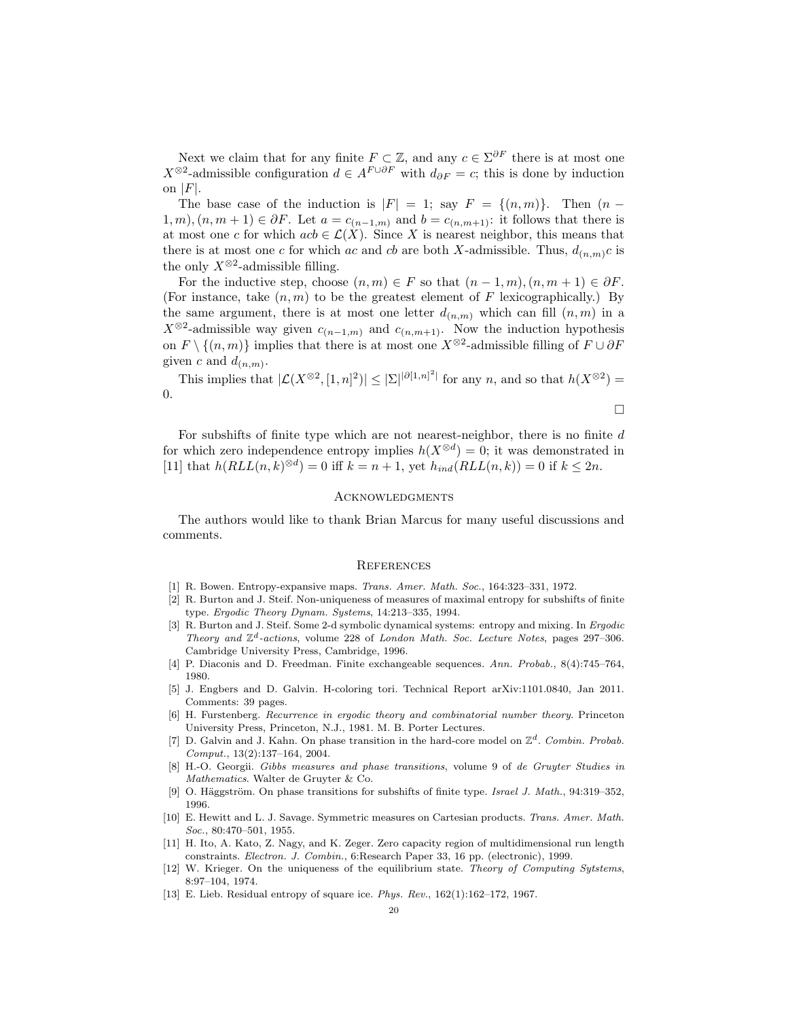Next we claim that for any finite  $F \subset \mathbb{Z}$ , and any  $c \in \Sigma^{\partial F}$  there is at most one  $X^{\otimes 2}$ -admissible configuration  $d \in A^{F \cup \partial F}$  with  $d_{\partial F} = c$ ; this is done by induction on  $|F|$ .

The base case of the induction is  $|F| = 1$ ; say  $F = \{(n, m)\}.$  Then  $(n - 1)$  $1, m$ ,  $(n, m + 1) \in \partial F$ . Let  $a = c_{(n-1,m)}$  and  $b = c_{(n,m+1)}$ : it follows that there is at most one c for which  $acb \in \mathcal{L}(X)$ . Since X is nearest neighbor, this means that there is at most one c for which ac and cb are both X-admissible. Thus,  $d_{(n,m)}c$  is the only  $X^{\otimes 2}$ -admissible filling.

For the inductive step, choose  $(n, m) \in F$  so that  $(n - 1, m), (n, m + 1) \in \partial F$ . (For instance, take  $(n, m)$  to be the greatest element of F lexicographically.) By the same argument, there is at most one letter  $d_{(n,m)}$  which can fill  $(n,m)$  in a  $X^{\otimes 2}$ -admissible way given  $c_{(n-1,m)}$  and  $c_{(n,m+1)}$ . Now the induction hypothesis on  $F \setminus \{(n,m)\}\$ implies that there is at most one X<sup>⊗2</sup>-admissible filling of  $F \cup \partial F$ given c and  $d_{(n,m)}$ .

This implies that  $|\mathcal{L}(X^{\otimes 2}, [1,n]^2)| \leq |\Sigma|^{\lvert \partial [1,n]^2 \rvert}$  for any n, and so that  $h(X^{\otimes 2}) =$ 0.

$$
\Box
$$

For subshifts of finite type which are not nearest-neighbor, there is no finite  $d$ for which zero independence entropy implies  $h(X^{\otimes d}) = 0$ ; it was demonstrated in [11] that  $h(RLL(n, k)^{\otimes d}) = 0$  iff  $k = n + 1$ , yet  $h_{ind}(RLL(n, k)) = 0$  if  $k \le 2n$ .

## **ACKNOWLEDGMENTS**

The authors would like to thank Brian Marcus for many useful discussions and comments.

## **REFERENCES**

- [1] R. Bowen. Entropy-expansive maps. Trans. Amer. Math. Soc., 164:323–331, 1972.
- [2] R. Burton and J. Steif. Non-uniqueness of measures of maximal entropy for subshifts of finite type. Ergodic Theory Dynam. Systems, 14:213–335, 1994.
- [3] R. Burton and J. Steif. Some 2-d symbolic dynamical systems: entropy and mixing. In Ergodic Theory and  $\mathbb{Z}^d$ -actions, volume 228 of London Math. Soc. Lecture Notes, pages 297-306. Cambridge University Press, Cambridge, 1996.
- [4] P. Diaconis and D. Freedman. Finite exchangeable sequences. Ann. Probab., 8(4):745–764, 1980.
- [5] J. Engbers and D. Galvin. H-coloring tori. Technical Report arXiv:1101.0840, Jan 2011. Comments: 39 pages.
- [6] H. Furstenberg. Recurrence in ergodic theory and combinatorial number theory. Princeton University Press, Princeton, N.J., 1981. M. B. Porter Lectures.
- [7] D. Galvin and J. Kahn. On phase transition in the hard-core model on  $\mathbb{Z}^d$ . Combin. Probab. Comput., 13(2):137–164, 2004.
- [8] H.-O. Georgii. Gibbs measures and phase transitions, volume 9 of de Gruyter Studies in Mathematics. Walter de Gruyter & Co.
- [9] O. Häggström. On phase transitions for subshifts of finite type. Israel J. Math., 94:319–352, 1996.
- [10] E. Hewitt and L. J. Savage. Symmetric measures on Cartesian products. Trans. Amer. Math. Soc., 80:470–501, 1955.
- [11] H. Ito, A. Kato, Z. Nagy, and K. Zeger. Zero capacity region of multidimensional run length constraints. Electron. J. Combin., 6:Research Paper 33, 16 pp. (electronic), 1999.
- [12] W. Krieger. On the uniqueness of the equilibrium state. Theory of Computing Sytstems, 8:97–104, 1974.
- [13] E. Lieb. Residual entropy of square ice. Phys. Rev., 162(1):162–172, 1967.